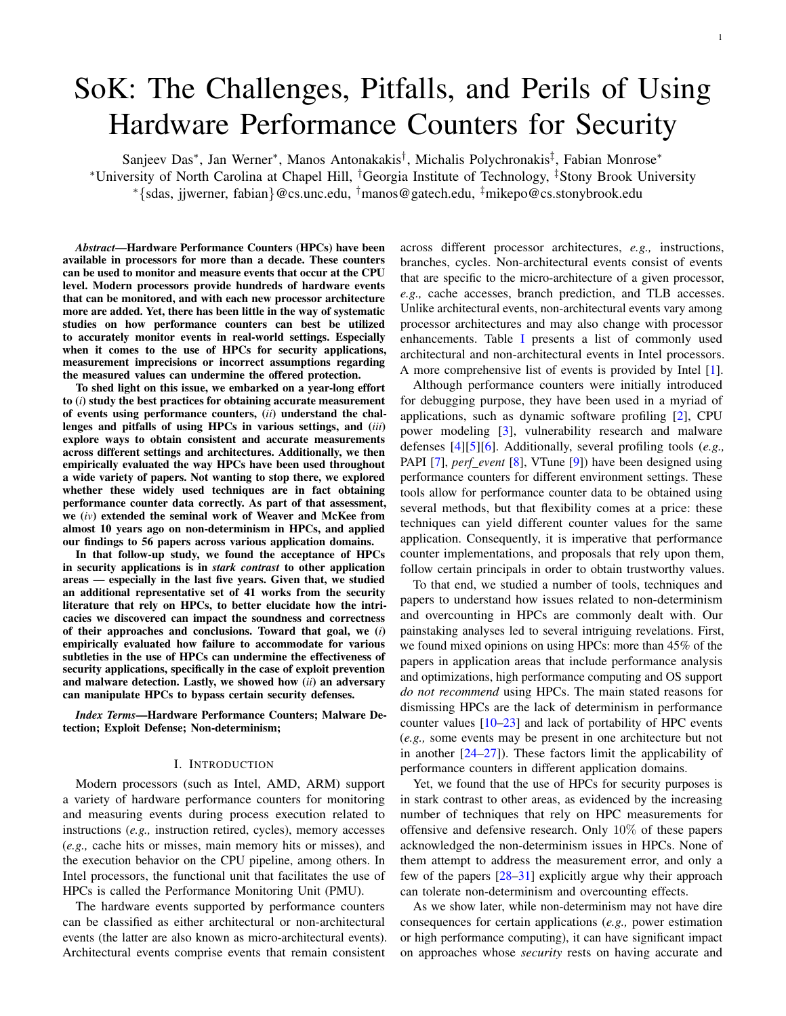# SoK: The Challenges, Pitfalls, and Perils of Using Hardware Performance Counters for Security

Sanjeev Das\*, Jan Werner\*, Manos Antonakakis<sup>†</sup>, Michalis Polychronakis<sup>‡</sup>, Fabian Monrose\* <sup>∗</sup>University of North Carolina at Chapel Hill, †Georgia Institute of Technology, ‡Stony Brook University <sup>∗</sup>{sdas, jjwerner, fabian}@cs.unc.edu, †manos@gatech.edu, ‡mikepo@cs.stonybrook.edu

*Abstract*—Hardware Performance Counters (HPCs) have been available in processors for more than a decade. These counters can be used to monitor and measure events that occur at the CPU level. Modern processors provide hundreds of hardware events that can be monitored, and with each new processor architecture more are added. Yet, there has been little in the way of systematic studies on how performance counters can best be utilized to accurately monitor events in real-world settings. Especially when it comes to the use of HPCs for security applications, measurement imprecisions or incorrect assumptions regarding the measured values can undermine the offered protection.

To shed light on this issue, we embarked on a year-long effort to (*i*) study the best practices for obtaining accurate measurement of events using performance counters, (*ii*) understand the challenges and pitfalls of using HPCs in various settings, and (*iii*) explore ways to obtain consistent and accurate measurements across different settings and architectures. Additionally, we then empirically evaluated the way HPCs have been used throughout a wide variety of papers. Not wanting to stop there, we explored whether these widely used techniques are in fact obtaining performance counter data correctly. As part of that assessment, we (*iv*) extended the seminal work of Weaver and McKee from almost 10 years ago on non-determinism in HPCs, and applied our findings to 56 papers across various application domains.

In that follow-up study, we found the acceptance of HPCs in security applications is in *stark contrast* to other application areas — especially in the last five years. Given that, we studied an additional representative set of 41 works from the security literature that rely on HPCs, to better elucidate how the intricacies we discovered can impact the soundness and correctness of their approaches and conclusions. Toward that goal, we (*i*) empirically evaluated how failure to accommodate for various subtleties in the use of HPCs can undermine the effectiveness of security applications, specifically in the case of exploit prevention and malware detection. Lastly, we showed how (*ii*) an adversary can manipulate HPCs to bypass certain security defenses.

*Index Terms*—Hardware Performance Counters; Malware Detection; Exploit Defense; Non-determinism;

#### I. INTRODUCTION

<span id="page-0-0"></span>Modern processors (such as Intel, AMD, ARM) support a variety of hardware performance counters for monitoring and measuring events during process execution related to instructions (*e.g.,* instruction retired, cycles), memory accesses (*e.g.,* cache hits or misses, main memory hits or misses), and the execution behavior on the CPU pipeline, among others. In Intel processors, the functional unit that facilitates the use of HPCs is called the Performance Monitoring Unit (PMU).

The hardware events supported by performance counters can be classified as either architectural or non-architectural events (the latter are also known as micro-architectural events). Architectural events comprise events that remain consistent

across different processor architectures, *e.g.,* instructions, branches, cycles. Non-architectural events consist of events that are specific to the micro-architecture of a given processor, *e.g.,* cache accesses, branch prediction, and TLB accesses. Unlike architectural events, non-architectural events vary among processor architectures and may also change with processor enhancements. Table [I](#page-2-0) presents a list of commonly used architectural and non-architectural events in Intel processors. A more comprehensive list of events is provided by Intel [\[1\]](#page-13-0).

Although performance counters were initially introduced for debugging purpose, they have been used in a myriad of applications, such as dynamic software profiling [\[2\]](#page-13-1), CPU power modeling [\[3\]](#page-13-2), vulnerability research and malware defenses [\[4\]](#page-13-3)[\[5\]](#page-13-4)[\[6\]](#page-13-5). Additionally, several profiling tools (*e.g.,* PAPI [\[7\]](#page-13-6), *perf\_event* [\[8\]](#page-13-7), VTune [\[9\]](#page-13-8)) have been designed using performance counters for different environment settings. These tools allow for performance counter data to be obtained using several methods, but that flexibility comes at a price: these techniques can yield different counter values for the same application. Consequently, it is imperative that performance counter implementations, and proposals that rely upon them, follow certain principals in order to obtain trustworthy values.

To that end, we studied a number of tools, techniques and papers to understand how issues related to non-determinism and overcounting in HPCs are commonly dealt with. Our painstaking analyses led to several intriguing revelations. First, we found mixed opinions on using HPCs: more than 45% of the papers in application areas that include performance analysis and optimizations, high performance computing and OS support *do not recommend* using HPCs. The main stated reasons for dismissing HPCs are the lack of determinism in performance counter values [\[10](#page-13-9)[–23\]](#page-13-10) and lack of portability of HPC events (*e.g.,* some events may be present in one architecture but not in another  $[24-27]$  $[24-27]$ . These factors limit the applicability of performance counters in different application domains.

Yet, we found that the use of HPCs for security purposes is in stark contrast to other areas, as evidenced by the increasing number of techniques that rely on HPC measurements for offensive and defensive research. Only 10% of these papers acknowledged the non-determinism issues in HPCs. None of them attempt to address the measurement error, and only a few of the papers [\[28–](#page-13-13)[31\]](#page-13-14) explicitly argue why their approach can tolerate non-determinism and overcounting effects.

As we show later, while non-determinism may not have dire consequences for certain applications (*e.g.,* power estimation or high performance computing), it can have significant impact on approaches whose *security* rests on having accurate and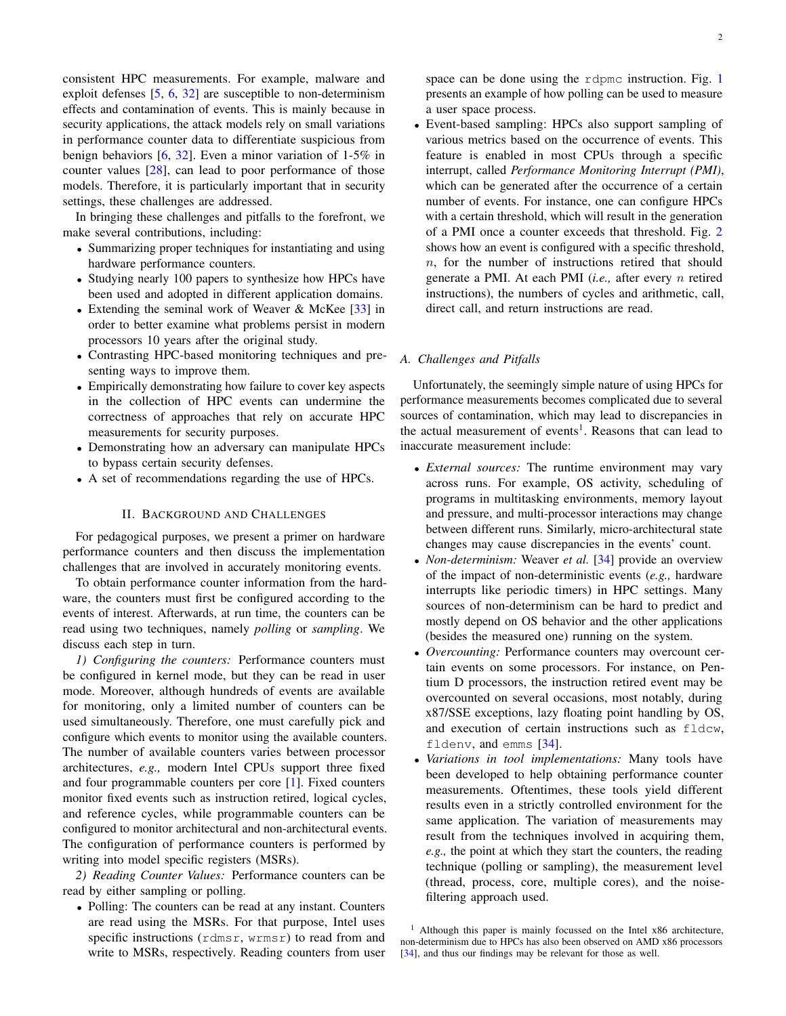consistent HPC measurements. For example, malware and exploit defenses  $[5, 6, 32]$  $[5, 6, 32]$  $[5, 6, 32]$  $[5, 6, 32]$  $[5, 6, 32]$  are susceptible to non-determinism effects and contamination of events. This is mainly because in security applications, the attack models rely on small variations in performance counter data to differentiate suspicious from benign behaviors  $[6, 32]$  $[6, 32]$  $[6, 32]$ . Even a minor variation of 1-5% in counter values [\[28\]](#page-13-13), can lead to poor performance of those models. Therefore, it is particularly important that in security settings, these challenges are addressed.

In bringing these challenges and pitfalls to the forefront, we make several contributions, including:

- Summarizing proper techniques for instantiating and using hardware performance counters.
- Studying nearly 100 papers to synthesize how HPCs have been used and adopted in different application domains.
- Extending the seminal work of Weaver & McKee [\[33\]](#page-13-16) in order to better examine what problems persist in modern processors 10 years after the original study.
- Contrasting HPC-based monitoring techniques and presenting ways to improve them.
- Empirically demonstrating how failure to cover key aspects in the collection of HPC events can undermine the correctness of approaches that rely on accurate HPC measurements for security purposes.
- Demonstrating how an adversary can manipulate HPCs to bypass certain security defenses.
- A set of recommendations regarding the use of HPCs.

# II. BACKGROUND AND CHALLENGES

For pedagogical purposes, we present a primer on hardware performance counters and then discuss the implementation challenges that are involved in accurately monitoring events.

To obtain performance counter information from the hardware, the counters must first be configured according to the events of interest. Afterwards, at run time, the counters can be read using two techniques, namely *polling* or *sampling*. We discuss each step in turn.

*1) Configuring the counters:* Performance counters must be configured in kernel mode, but they can be read in user mode. Moreover, although hundreds of events are available for monitoring, only a limited number of counters can be used simultaneously. Therefore, one must carefully pick and configure which events to monitor using the available counters. The number of available counters varies between processor architectures, *e.g.,* modern Intel CPUs support three fixed and four programmable counters per core [\[1\]](#page-13-0). Fixed counters monitor fixed events such as instruction retired, logical cycles, and reference cycles, while programmable counters can be configured to monitor architectural and non-architectural events. The configuration of performance counters is performed by writing into model specific registers (MSRs).

*2) Reading Counter Values:* Performance counters can be read by either sampling or polling.

• Polling: The counters can be read at any instant. Counters are read using the MSRs. For that purpose, Intel uses specific instructions (rdmsr, wrmsr) to read from and write to MSRs, respectively. Reading counters from user

space can be done using the rdpmc instruction. Fig. [1](#page-2-1) presents an example of how polling can be used to measure a user space process.

• Event-based sampling: HPCs also support sampling of various metrics based on the occurrence of events. This feature is enabled in most CPUs through a specific interrupt, called *Performance Monitoring Interrupt (PMI)*, which can be generated after the occurrence of a certain number of events. For instance, one can configure HPCs with a certain threshold, which will result in the generation of a PMI once a counter exceeds that threshold. Fig. [2](#page-2-1) shows how an event is configured with a specific threshold, n, for the number of instructions retired that should generate a PMI. At each PMI (*i.e.,* after every n retired instructions), the numbers of cycles and arithmetic, call, direct call, and return instructions are read.

# <span id="page-1-1"></span>*A. Challenges and Pitfalls*

Unfortunately, the seemingly simple nature of using HPCs for performance measurements becomes complicated due to several sources of contamination, which may lead to discrepancies in the actual measurement of events<sup>[1](#page-1-0)</sup>. Reasons that can lead to inaccurate measurement include:

- *External sources:* The runtime environment may vary across runs. For example, OS activity, scheduling of programs in multitasking environments, memory layout and pressure, and multi-processor interactions may change between different runs. Similarly, micro-architectural state changes may cause discrepancies in the events' count.
- *Non-determinism:* Weaver *et al.* [\[34\]](#page-13-17) provide an overview of the impact of non-deterministic events (*e.g.,* hardware interrupts like periodic timers) in HPC settings. Many sources of non-determinism can be hard to predict and mostly depend on OS behavior and the other applications (besides the measured one) running on the system.
- *Overcounting:* Performance counters may overcount certain events on some processors. For instance, on Pentium D processors, the instruction retired event may be overcounted on several occasions, most notably, during x87/SSE exceptions, lazy floating point handling by OS, and execution of certain instructions such as fldcw, fldenv, and emms [\[34\]](#page-13-17).
- *Variations in tool implementations:* Many tools have been developed to help obtaining performance counter measurements. Oftentimes, these tools yield different results even in a strictly controlled environment for the same application. The variation of measurements may result from the techniques involved in acquiring them, *e.g.,* the point at which they start the counters, the reading technique (polling or sampling), the measurement level (thread, process, core, multiple cores), and the noisefiltering approach used.

<span id="page-1-0"></span><sup>&</sup>lt;sup>1</sup> Although this paper is mainly focussed on the Intel x86 architecture, non-determinism due to HPCs has also been observed on AMD x86 processors [\[34\]](#page-13-17), and thus our findings may be relevant for those as well.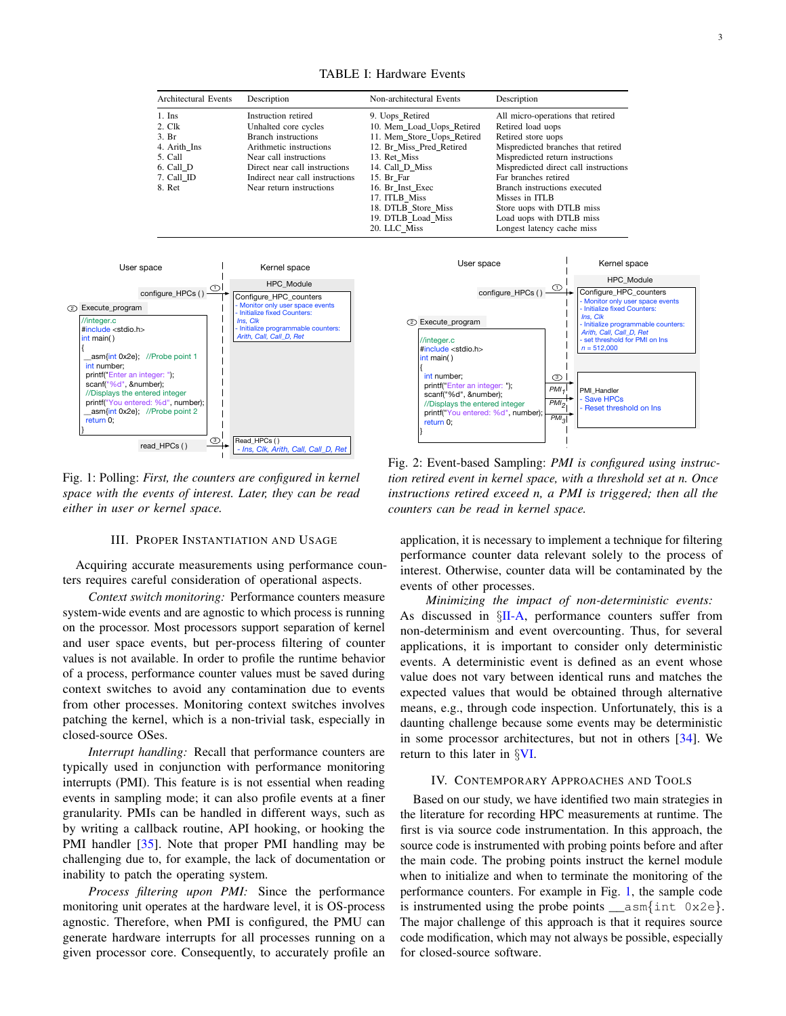TABLE I: Hardware Events

<span id="page-2-0"></span>

| <b>Architectural Events</b> | Description                     | Non-architectural Events   | Description                           |
|-----------------------------|---------------------------------|----------------------------|---------------------------------------|
| $1.$ Ins                    | Instruction retired             | 9. Uops_Retired            | All micro-operations that retired     |
| $2.$ Clk                    | Unhalted core cycles            | 10. Mem_Load_Uops_Retired  | Retired load uops                     |
| 3. Br                       | <b>Branch</b> instructions      | 11. Mem Store Uops Retired | Retired store uops                    |
| 4. Arith Ins                | Arithmetic instructions         | 12. Br Miss Pred Retired   | Mispredicted branches that retired    |
| 5. Call                     | Near call instructions          | 13. Ret Miss               | Mispredicted return instructions      |
| 6. Call D                   | Direct near call instructions   | 14. Call D Miss            | Mispredicted direct call instructions |
| 7. Call ID                  | Indirect near call instructions | 15. Br Far                 | Far branches retired                  |
| 8. Ret                      | Near return instructions        | 16. Br Inst Exec           | Branch instructions executed          |
|                             |                                 | 17. ITLB_Miss              | Misses in ITLB                        |
|                             |                                 | 18. DTLB Store Miss        | Store uops with DTLB miss             |
|                             |                                 | 19. DTLB Load Miss         | Load uops with DTLB miss              |
|                             |                                 | 20. LLC Miss               | Longest latency cache miss            |

<span id="page-2-1"></span>

Fig. 1: Polling: *First, the counters are configured in kernel space with the events of interest. Later, they can be read either in user or kernel space.*

## III. PROPER INSTANTIATION AND USAGE

Acquiring accurate measurements using performance counters requires careful consideration of operational aspects.

*Context switch monitoring:* Performance counters measure system-wide events and are agnostic to which process is running on the processor. Most processors support separation of kernel and user space events, but per-process filtering of counter values is not available. In order to profile the runtime behavior of a process, performance counter values must be saved during context switches to avoid any contamination due to events from other processes. Monitoring context switches involves patching the kernel, which is a non-trivial task, especially in closed-source OSes.

*Interrupt handling:* Recall that performance counters are typically used in conjunction with performance monitoring interrupts (PMI). This feature is is not essential when reading events in sampling mode; it can also profile events at a finer granularity. PMIs can be handled in different ways, such as by writing a callback routine, API hooking, or hooking the PMI handler [\[35\]](#page-13-18). Note that proper PMI handling may be challenging due to, for example, the lack of documentation or inability to patch the operating system.

*Process filtering upon PMI:* Since the performance monitoring unit operates at the hardware level, it is OS-process agnostic. Therefore, when PMI is configured, the PMU can generate hardware interrupts for all processes running on a given processor core. Consequently, to accurately profile an



Fig. 2: Event-based Sampling: *PMI is configured using instruction retired event in kernel space, with a threshold set at n. Once instructions retired exceed n, a PMI is triggered; then all the counters can be read in kernel space.*

application, it is necessary to implement a technique for filtering performance counter data relevant solely to the process of interest. Otherwise, counter data will be contaminated by the events of other processes.

*Minimizing the impact of non-deterministic events:* As discussed in  $\S$ [II-A,](#page-1-1) performance counters suffer from non-determinism and event overcounting. Thus, for several applications, it is important to consider only deterministic events. A deterministic event is defined as an event whose value does not vary between identical runs and matches the expected values that would be obtained through alternative means, e.g., through code inspection. Unfortunately, this is a daunting challenge because some events may be deterministic in some processor architectures, but not in others [\[34\]](#page-13-17). We return to this later in §[VI.](#page-6-0)

## IV. CONTEMPORARY APPROACHES AND TOOLS

<span id="page-2-2"></span>Based on our study, we have identified two main strategies in the literature for recording HPC measurements at runtime. The first is via source code instrumentation. In this approach, the source code is instrumented with probing points before and after the main code. The probing points instruct the kernel module when to initialize and when to terminate the monitoring of the performance counters. For example in Fig. [1,](#page-2-1) the sample code is instrumented using the probe points  $\text{asm}\{\text{int } 0x2e\}.$ The major challenge of this approach is that it requires source code modification, which may not always be possible, especially for closed-source software.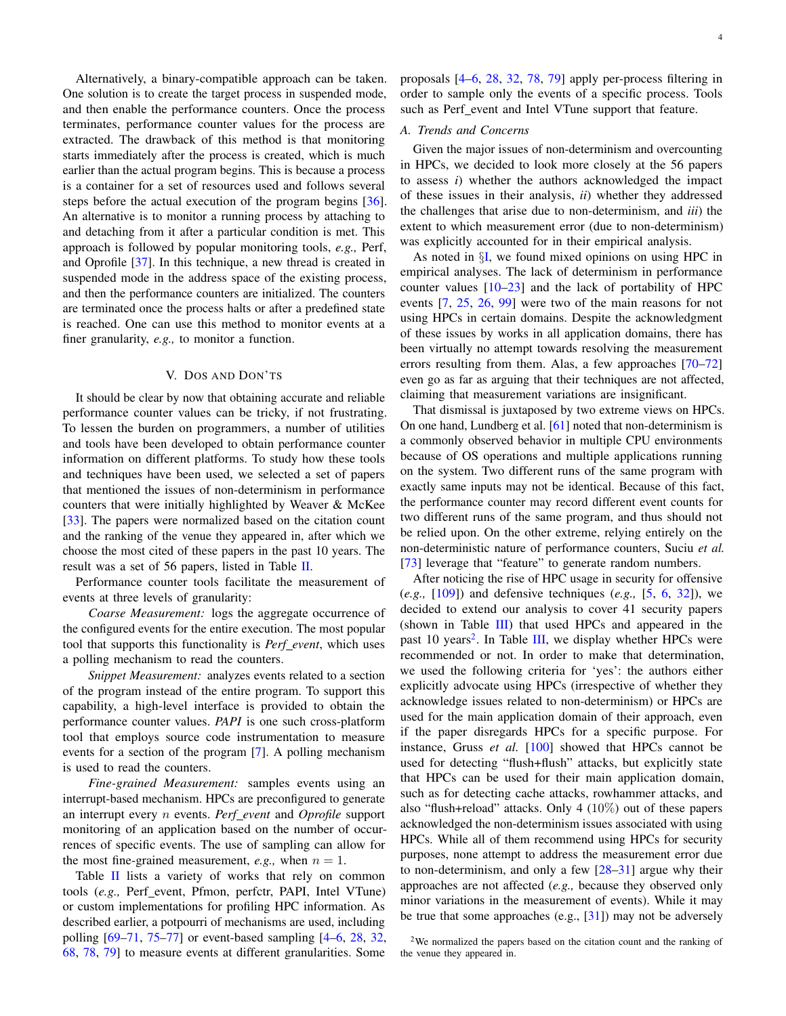Alternatively, a binary-compatible approach can be taken. One solution is to create the target process in suspended mode, and then enable the performance counters. Once the process terminates, performance counter values for the process are extracted. The drawback of this method is that monitoring starts immediately after the process is created, which is much earlier than the actual program begins. This is because a process is a container for a set of resources used and follows several steps before the actual execution of the program begins [\[36\]](#page-13-19). An alternative is to monitor a running process by attaching to and detaching from it after a particular condition is met. This approach is followed by popular monitoring tools, *e.g.,* Perf, and Oprofile [\[37\]](#page-13-20). In this technique, a new thread is created in suspended mode in the address space of the existing process, and then the performance counters are initialized. The counters are terminated once the process halts or after a predefined state is reached. One can use this method to monitor events at a finer granularity, *e.g.,* to monitor a function.

#### V. DOS AND DON'TS

<span id="page-3-2"></span>It should be clear by now that obtaining accurate and reliable performance counter values can be tricky, if not frustrating. To lessen the burden on programmers, a number of utilities and tools have been developed to obtain performance counter information on different platforms. To study how these tools and techniques have been used, we selected a set of papers that mentioned the issues of non-determinism in performance counters that were initially highlighted by Weaver & McKee [\[33\]](#page-13-16). The papers were normalized based on the citation count and the ranking of the venue they appeared in, after which we choose the most cited of these papers in the past 10 years. The result was a set of 56 papers, listed in Table [II.](#page-4-0)

Performance counter tools facilitate the measurement of events at three levels of granularity:

*Coarse Measurement:* logs the aggregate occurrence of the configured events for the entire execution. The most popular tool that supports this functionality is *Perf event*, which uses a polling mechanism to read the counters.

*Snippet Measurement:* analyzes events related to a section of the program instead of the entire program. To support this capability, a high-level interface is provided to obtain the performance counter values. *PAPI* is one such cross-platform tool that employs source code instrumentation to measure events for a section of the program [\[7\]](#page-13-6). A polling mechanism is used to read the counters.

*Fine-grained Measurement:* samples events using an interrupt-based mechanism. HPCs are preconfigured to generate an interrupt every n events. *Perf event* and *Oprofile* support monitoring of an application based on the number of occurrences of specific events. The use of sampling can allow for the most fine-grained measurement, *e.g.*, when  $n = 1$ .

Table [II](#page-4-0) lists a variety of works that rely on common tools (e.g., Perf\_event, Pfmon, perfctr, PAPI, Intel VTune) or custom implementations for profiling HPC information. As described earlier, a potpourri of mechanisms are used, including polling [\[69–](#page-14-0)[71,](#page-14-1) [75–](#page-14-2)[77\]](#page-14-3) or event-based sampling [\[4–](#page-13-3)[6,](#page-13-5) [28,](#page-13-13) [32,](#page-13-15) [68,](#page-14-4) [78,](#page-14-5) [79\]](#page-14-6) to measure events at different granularities. Some

proposals [\[4–](#page-13-3)[6,](#page-13-5) [28,](#page-13-13) [32,](#page-13-15) [78,](#page-14-5) [79\]](#page-14-6) apply per-process filtering in order to sample only the events of a specific process. Tools such as Perf\_event and Intel VTune support that feature.

#### <span id="page-3-1"></span>*A. Trends and Concerns*

Given the major issues of non-determinism and overcounting in HPCs, we decided to look more closely at the 56 papers to assess *i*) whether the authors acknowledged the impact of these issues in their analysis, *ii*) whether they addressed the challenges that arise due to non-determinism, and *iii*) the extent to which measurement error (due to non-determinism) was explicitly accounted for in their empirical analysis.

As noted in §[I,](#page-0-0) we found mixed opinions on using HPC in empirical analyses. The lack of determinism in performance counter values  $[10-23]$  $[10-23]$  and the lack of portability of HPC events [\[7,](#page-13-6) [25,](#page-13-21) [26,](#page-13-22) [99\]](#page-15-0) were two of the main reasons for not using HPCs in certain domains. Despite the acknowledgment of these issues by works in all application domains, there has been virtually no attempt towards resolving the measurement errors resulting from them. Alas, a few approaches [\[70](#page-14-7)[–72\]](#page-14-8) even go as far as arguing that their techniques are not affected, claiming that measurement variations are insignificant.

That dismissal is juxtaposed by two extreme views on HPCs. On one hand, Lundberg et al. [\[61\]](#page-14-9) noted that non-determinism is a commonly observed behavior in multiple CPU environments because of OS operations and multiple applications running on the system. Two different runs of the same program with exactly same inputs may not be identical. Because of this fact, the performance counter may record different event counts for two different runs of the same program, and thus should not be relied upon. On the other extreme, relying entirely on the non-deterministic nature of performance counters, Suciu *et al.* [\[73\]](#page-14-10) leverage that "feature" to generate random numbers.

After noticing the rise of HPC usage in security for offensive (*e.g.,* [\[109\]](#page-15-1)) and defensive techniques (*e.g.,* [\[5,](#page-13-4) [6,](#page-13-5) [32\]](#page-13-15)), we decided to extend our analysis to cover 41 security papers (shown in Table [III\)](#page-5-0) that used HPCs and appeared in the past 10 years<sup>[2](#page-3-0)</sup>. In Table [III,](#page-5-0) we display whether HPCs were recommended or not. In order to make that determination, we used the following criteria for 'yes': the authors either explicitly advocate using HPCs (irrespective of whether they acknowledge issues related to non-determinism) or HPCs are used for the main application domain of their approach, even if the paper disregards HPCs for a specific purpose. For instance, Gruss *et al.* [\[100\]](#page-15-2) showed that HPCs cannot be used for detecting "flush+flush" attacks, but explicitly state that HPCs can be used for their main application domain, such as for detecting cache attacks, rowhammer attacks, and also "flush+reload" attacks. Only 4  $(10\%)$  out of these papers acknowledged the non-determinism issues associated with using HPCs. While all of them recommend using HPCs for security purposes, none attempt to address the measurement error due to non-determinism, and only a few [\[28–](#page-13-13)[31\]](#page-13-14) argue why their approaches are not affected (*e.g.,* because they observed only minor variations in the measurement of events). While it may be true that some approaches (e.g.,  $[31]$ ) may not be adversely

<span id="page-3-0"></span><sup>2</sup>We normalized the papers based on the citation count and the ranking of the venue they appeared in.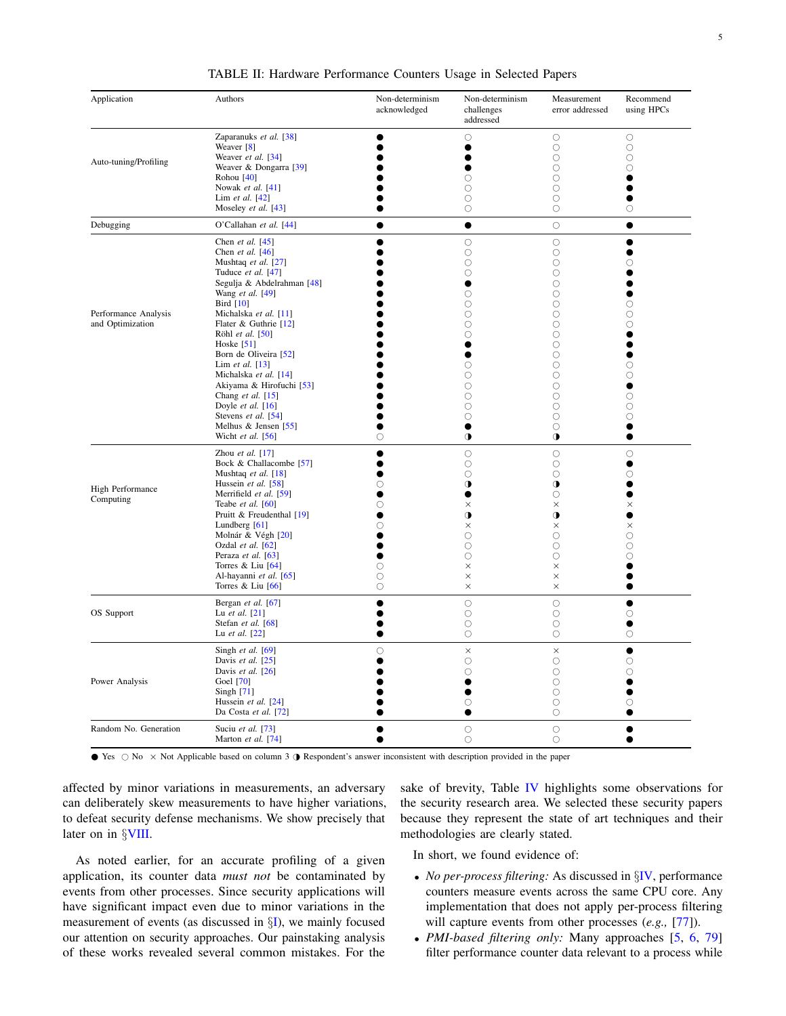<span id="page-4-0"></span>

| Application                              | Authors                                                                                                                                                                                                                                                                                                                                                                                                                                                                         | Non-determinism<br>acknowledged | Non-determinism<br>challenges<br>addressed                                                                               | Measurement<br>error addressed                                                                                                                                                       | Recommend<br>using HPCs                                |
|------------------------------------------|---------------------------------------------------------------------------------------------------------------------------------------------------------------------------------------------------------------------------------------------------------------------------------------------------------------------------------------------------------------------------------------------------------------------------------------------------------------------------------|---------------------------------|--------------------------------------------------------------------------------------------------------------------------|--------------------------------------------------------------------------------------------------------------------------------------------------------------------------------------|--------------------------------------------------------|
| Auto-tuning/Profiling                    | Zaparanuks et al. [38]<br>Weaver $[8]$<br>Weaver et al. [34]<br>Weaver & Dongarra [39]<br>Rohou [40]<br>Nowak et al. [41]<br>Lim et al. $[42]$<br>Moseley et al. [43]                                                                                                                                                                                                                                                                                                           |                                 | O<br>e<br>∩<br>0<br>$\circ$<br>$\circ$                                                                                   | $\circ$<br>О<br>$\circ$<br>O<br>$\circ$<br>$\circ$<br>$\circ$<br>$\circ$                                                                                                             | $\circ$<br>$\circ$<br>$\circ$<br>O<br>О                |
| Debugging                                | O'Callahan et al. [44]                                                                                                                                                                                                                                                                                                                                                                                                                                                          | $\bullet$                       | $\bullet$                                                                                                                | $\circ$                                                                                                                                                                              | $\bullet$                                              |
| Performance Analysis<br>and Optimization | Chen et al. $[45]$<br>Chen et al. $[46]$<br>Mushtaq et al. [27]<br>Tuduce et al. [47]<br>Segulja & Abdelrahman [48]<br>Wang et al. [49]<br><b>Bird</b> [10]<br>Michalska et al. [11]<br>Flater & Guthrie [12]<br>Röhl et al. [50]<br>Hoske $[51]$<br>Born de Oliveira [52]<br>Lim et al. $[13]$<br>Michalska et al. [14]<br>Akiyama & Hirofuchi [53]<br>Chang et al. $[15]$<br>Doyle <i>et al.</i> $[16]$<br>Stevens et al. [54]<br>Melhus $&$ Jensen [55]<br>Wicht et al. [56] | C                               | $\circ$<br>$\circ$<br>$\circ$<br>$\circ$<br>O<br>O<br>0<br>O<br>O<br>O<br>$\bigcirc$<br>0<br>O<br>O<br>O<br>◑            | $\circ$<br>$\circ$<br>$\circ$<br>$\circ$<br>$\circ$<br>O<br>$\circ$<br>0<br>$\circ$<br>$\circ$<br>$\circ$<br>$\circ$<br>O<br>$\circ$<br>$\circ$<br>O<br>$\circ$<br>$\circ$<br>О<br>◑ | $\bullet$<br>∩<br>О<br>Ō<br>O<br>O<br>Ω<br>O<br>O<br>Ω |
| <b>High Performance</b><br>Computing     | Zhou et al. [17]<br>Bock & Challacombe [57]<br>Mushtaq et al. [18]<br>Hussein et al. [58]<br>Merrifield et al. [59]<br>Teabe et al. [60]<br>Pruitt & Freudenthal [19]<br>Lundberg $[61]$<br>Molnár & Végh [20]<br>Ozdal et al. [62]<br>Peraza et al. [63]<br>Torres & Liu $[64]$<br>Al-hayanni et al. [65]<br>Torres & Liu $[66]$                                                                                                                                               | O<br>O<br>О<br>Ω<br>$\circ$     | $\circ$<br>$\circ$<br>0<br>◑<br>$\times$<br>◑<br>$\times$<br>$\circ$<br>$\circ$<br>O<br>$\times$<br>$\times$<br>$\times$ | $\circ$<br>$\circ$<br>$\circ$<br>◑<br>O<br>×<br>◑<br>$\times$<br>$\circ$<br>O<br>O<br>$\times$<br>$\times$<br>$\times$                                                               | $\circ$<br>Ω<br>×<br>$\times$<br>$\circ$<br>Ω<br>∩     |
| OS Support                               | Bergan et al. [67]<br>Lu et al. $[21]$<br>Stefan et al. [68]<br>Lu et al. [22]                                                                                                                                                                                                                                                                                                                                                                                                  |                                 | $\circ$<br>$\circ$<br>$\circ$<br>$\circ$                                                                                 | $\circ$<br>$\circ$<br>$\circ$<br>О                                                                                                                                                   | ●<br>О<br>●<br>О                                       |
| Power Analysis                           | Singh et al. [69]<br>Davis et al. [25]<br>Davis et al. $[26]$<br>Goel [70]<br>Singh $[71]$<br>Hussein et al. [24]<br>Da Costa et al. [72]                                                                                                                                                                                                                                                                                                                                       | $\bigcirc$                      | $\times$<br>$\circ$<br>O<br>O<br>$\bullet$                                                                               | $\times$<br>$\circ$<br>O<br>$\circ$<br>$\circ$<br>$\circ$<br>О                                                                                                                       | $\circ$<br>O                                           |
| Random No. Generation                    | Suciu et al. [73]<br>Marton et al. [74]                                                                                                                                                                                                                                                                                                                                                                                                                                         |                                 | $\circ$<br>$\circ$                                                                                                       | $\circ$<br>$\circ$                                                                                                                                                                   |                                                        |

TABLE II: Hardware Performance Counters Usage in Selected Papers

 $\bullet$  Yes  $\circ$  No  $\times$  Not Applicable based on column 3  $\bullet$  Respondent's answer inconsistent with description provided in the paper

affected by minor variations in measurements, an adversary can deliberately skew measurements to have higher variations, to defeat security defense mechanisms. We show precisely that later on in §[VIII.](#page-10-0)

As noted earlier, for an accurate profiling of a given application, its counter data *must not* be contaminated by events from other processes. Since security applications will have significant impact even due to minor variations in the measurement of events (as discussed in §[I\)](#page-0-0), we mainly focused our attention on security approaches. Our painstaking analysis of these works revealed several common mistakes. For the

sake of brevity, Table [IV](#page-5-1) highlights some observations for the security research area. We selected these security papers because they represent the state of art techniques and their methodologies are clearly stated.

In short, we found evidence of:

- *No per-process filtering:* As discussed in §[IV,](#page-2-2) performance counters measure events across the same CPU core. Any implementation that does not apply per-process filtering will capture events from other processes (*e.g.,* [\[77\]](#page-14-3)).
- *PMI-based filtering only:* Many approaches [\[5,](#page-13-4) [6,](#page-13-5) [79\]](#page-14-6) filter performance counter data relevant to a process while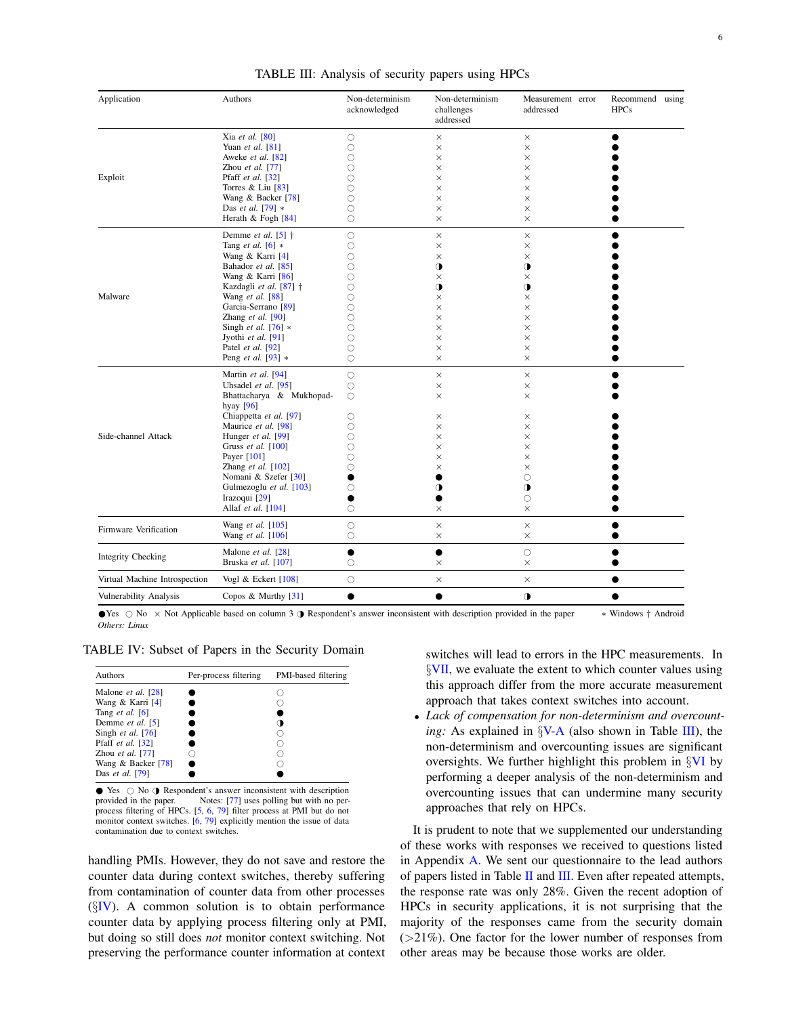<span id="page-5-0"></span>

| Application                   | Authors                                 | Non-determinism<br>acknowledged | Non-determinism<br>challenges<br>addressed | Measurement error<br>addressed | Recommend using<br><b>HPCs</b> |
|-------------------------------|-----------------------------------------|---------------------------------|--------------------------------------------|--------------------------------|--------------------------------|
|                               | Xia et al. [80]                         | $\circ$                         | $\times$                                   | $\times$                       |                                |
|                               | Yuan et al. [81]                        | $\circ$                         | $\times$                                   | $\times$                       |                                |
|                               | Aweke et al. [82]                       | O                               | $\times$                                   | $\times$                       |                                |
|                               | Zhou et al. $[77]$                      | Ω                               | $\times$                                   | $\times$                       |                                |
| Exploit                       | Pfaff et al. $[32]$                     | O                               | $\times$                                   | $\times$                       |                                |
|                               | Torres & Liu $[83]$                     | $\circ$                         | $\times$                                   | $\times$                       |                                |
|                               | Wang & Backer [78]                      | O                               | $\times$                                   | $\times$                       |                                |
|                               | Das et al. $[79]$ *                     | $\circ$                         | $\times$                                   | $\times$                       |                                |
|                               | Herath & Fogh [84]                      | $\circ$                         | $\times$                                   | $\times$                       |                                |
|                               | Demme et al. $[5]$ $\dagger$            | $\circ$                         | $\times$                                   | $\times$                       |                                |
|                               | Tang et al. $[6]$ *                     | O                               | $\times$                                   | $\times$                       |                                |
|                               | Wang & Karri [4]                        | O                               | $\times$                                   | $\times$                       |                                |
|                               | Bahador et al. [85]                     | O                               | $\bullet$                                  | ◑                              |                                |
|                               | Wang & Karri [86]                       | O                               | $\times$                                   | $\times$                       |                                |
|                               | Kazdagli et al. [87] †                  | O                               | ◑                                          | ◑                              |                                |
| Malware                       | Wang et al. [88]                        | O                               | $\times$                                   | $\times$                       |                                |
|                               | Garcia-Serrano <sup>[89]</sup>          | O                               | $\times$                                   | $\times$                       |                                |
|                               | Zhang et al. $[90]$                     | Ω                               | $\times$                                   | $\times$                       |                                |
|                               | Singh et al. $[76]$ *                   | Ó                               | $\times$                                   | $\times$                       |                                |
|                               | Jyothi et al. [91]                      | O                               | $\times$                                   | $\times$                       |                                |
|                               | Patel <i>et al.</i> [92]                | O                               | $\times$                                   | $\times$                       |                                |
|                               | Peng et al. $[93]$ *                    | $\circ$                         | $\times$                                   | $\times$                       |                                |
|                               | Martin et al. [94]                      | $\circ$                         | $\times$                                   | $\times$                       |                                |
|                               | Uhsadel et al. [95]                     | $\circ$                         | $\times$                                   | $\times$                       |                                |
|                               | Bhattacharya & Mukhopad-<br>hyay $[96]$ | $\circ$                         | $\times$                                   | $\times$                       |                                |
|                               | Chiappetta et al. [97]                  | О                               | $\times$                                   | $\times$                       |                                |
|                               | Maurice et al. [98]                     | $\circ$                         | $\times$                                   | $\times$                       |                                |
| Side-channel Attack           | Hunger et al. [99]                      | Ω                               | $\times$                                   | $\times$                       |                                |
|                               | Gruss et al. [100]                      | $\circ$                         | $\times$                                   | $\times$                       |                                |
|                               | Payer [101]                             | O                               | $\times$                                   | $\times$                       |                                |
|                               | Zhang et al. $[102]$                    | O                               | $\times$                                   | $\times$                       |                                |
|                               | Nomani & Szefer [30]                    |                                 |                                            | O                              |                                |
|                               | Gulmezoglu et al. [103]                 | O                               | ◑                                          | ◑                              |                                |
|                               | Irazoqui [29]                           |                                 |                                            | О                              |                                |
|                               | Allaf et al. [104]                      | $\circ$                         | $\times$                                   | $\times$                       |                                |
| Firmware Verification         | Wang et al. [105]<br>Wang et al. [106]  | $\circ$<br>$\circ$              | $\times$<br>$\times$                       | $\times$<br>$\times$           |                                |
|                               | Malone et al. [28]                      | $\bullet$                       | $\bullet$                                  | $\circ$                        |                                |
| <b>Integrity Checking</b>     | Bruska et al. [107]                     | $\circ$                         | $\times$                                   | $\times$                       |                                |
| Virtual Machine Introspection | Vogl & Eckert [108]                     | $\circ$                         | $\times$                                   | $\times$                       |                                |
| Vulnerability Analysis        | Copos & Murthy $[31]$                   | $\bullet$                       | $\bullet$                                  | $\bullet$                      |                                |

TABLE III: Analysis of security papers using HPCs

 $\triangle$  Yes  $\cap$  No  $\times$  Not Applicable based on column 3 (D Respondent's answer inconsistent with description provided in the paper  $*$  Windows † Android *Others: Linux*

<span id="page-5-1"></span>

| Authors                  | Per-process filtering | PMI-based filtering |
|--------------------------|-----------------------|---------------------|
| Malone et al. [28]       |                       |                     |
| Wang & Karri [4]         |                       |                     |
| Tang <i>et al.</i> $[6]$ |                       |                     |
| Demme et al. [5]         |                       |                     |
| Singh et al. $[76]$      |                       |                     |
| Pfaff $et$ al. [32]      |                       |                     |
| Zhou <i>et al.</i> [77]  |                       |                     |
| Wang & Backer [78]       |                       |                     |
| Das et al. [79]          |                       |                     |

 $\bullet$  Yes  $\circ$  No  $\bullet$  Respondent's answer inconsistent with description provided in the paper. Notes: [77] uses polling but with no per-Notes: [\[77\]](#page-14-3) uses polling but with no perprocess filtering of HPCs. [\[5,](#page-13-4) [6,](#page-13-5) [79\]](#page-14-6) filter process at PMI but do not monitor context switches. [\[6,](#page-13-5) [79\]](#page-14-6) explicitly mention the issue of data contamination due to context switches.

handling PMIs. However, they do not save and restore the counter data during context switches, thereby suffering from contamination of counter data from other processes  $(\S$ [IV\)](#page-2-2). A common solution is to obtain performance counter data by applying process filtering only at PMI, but doing so still does *not* monitor context switching. Not preserving the performance counter information at context switches will lead to errors in the HPC measurements. In §[VII,](#page-7-0) we evaluate the extent to which counter values using this approach differ from the more accurate measurement approach that takes context switches into account.

• *Lack of compensation for non-determinism and overcounting:* As explained in §[V-A](#page-3-1) (also shown in Table [III\)](#page-5-0), the non-determinism and overcounting issues are significant oversights. We further highlight this problem in §[VI](#page-6-0) by performing a deeper analysis of the non-determinism and overcounting issues that can undermine many security approaches that rely on HPCs.

It is prudent to note that we supplemented our understanding of these works with responses we received to questions listed in Appendix [A.](#page-15-11) We sent our questionnaire to the lead authors of papers listed in Table [II](#page-4-0) and [III.](#page-5-0) Even after repeated attempts, the response rate was only 28%. Given the recent adoption of HPCs in security applications, it is not surprising that the majority of the responses came from the security domain  $(>=21\%)$ . One factor for the lower number of responses from other areas may be because those works are older.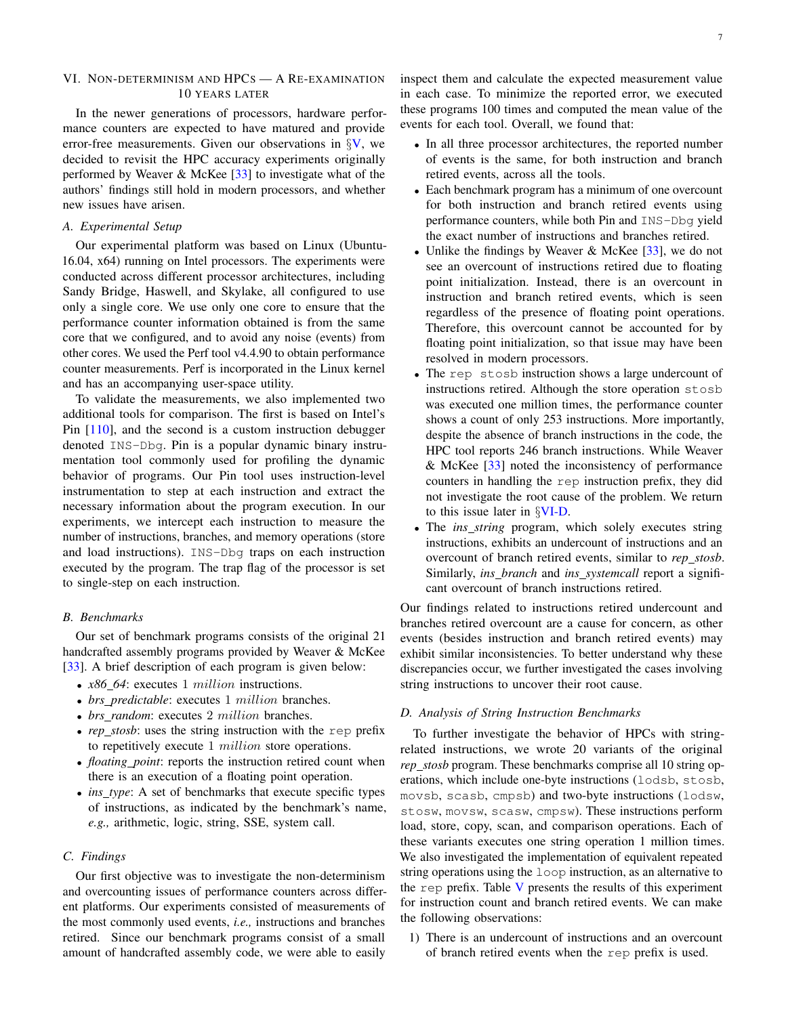# <span id="page-6-0"></span>VI. NON-DETERMINISM AND HPCS — A RE-EXAMINATION 10 YEARS LATER

In the newer generations of processors, hardware performance counters are expected to have matured and provide error-free measurements. Given our observations in  $\frac{\delta V}{\delta v}$ , we decided to revisit the HPC accuracy experiments originally performed by Weaver & McKee [\[33\]](#page-13-16) to investigate what of the authors' findings still hold in modern processors, and whether new issues have arisen.

# *A. Experimental Setup*

Our experimental platform was based on Linux (Ubuntu-16.04, x64) running on Intel processors. The experiments were conducted across different processor architectures, including Sandy Bridge, Haswell, and Skylake, all configured to use only a single core. We use only one core to ensure that the performance counter information obtained is from the same core that we configured, and to avoid any noise (events) from other cores. We used the Perf tool v4.4.90 to obtain performance counter measurements. Perf is incorporated in the Linux kernel and has an accompanying user-space utility.

To validate the measurements, we also implemented two additional tools for comparison. The first is based on Intel's Pin [\[110\]](#page-15-12), and the second is a custom instruction debugger denoted INS-Dbg. Pin is a popular dynamic binary instrumentation tool commonly used for profiling the dynamic behavior of programs. Our Pin tool uses instruction-level instrumentation to step at each instruction and extract the necessary information about the program execution. In our experiments, we intercept each instruction to measure the number of instructions, branches, and memory operations (store and load instructions). INS-Dbg traps on each instruction executed by the program. The trap flag of the processor is set to single-step on each instruction.

# *B. Benchmarks*

Our set of benchmark programs consists of the original 21 handcrafted assembly programs provided by Weaver & McKee [\[33\]](#page-13-16). A brief description of each program is given below:

- *x86 64*: executes 1 million instructions.
- *brs predictable*: executes 1 million branches.
- *brs\_random*: executes 2 *million* branches.
- *rep\_stosb*: uses the string instruction with the rep prefix to repetitively execute 1 *million* store operations.
- *floating\_point*: reports the instruction retired count when there is an execution of a floating point operation.
- *ins type*: A set of benchmarks that execute specific types of instructions, as indicated by the benchmark's name, *e.g.,* arithmetic, logic, string, SSE, system call.

## *C. Findings*

Our first objective was to investigate the non-determinism and overcounting issues of performance counters across different platforms. Our experiments consisted of measurements of the most commonly used events, *i.e.,* instructions and branches retired. Since our benchmark programs consist of a small amount of handcrafted assembly code, we were able to easily

inspect them and calculate the expected measurement value in each case. To minimize the reported error, we executed these programs 100 times and computed the mean value of the events for each tool. Overall, we found that:

- In all three processor architectures, the reported number of events is the same, for both instruction and branch retired events, across all the tools.
- Each benchmark program has a minimum of one overcount for both instruction and branch retired events using performance counters, while both Pin and INS-Dbg yield the exact number of instructions and branches retired.
- Unlike the findings by Weaver & McKee [\[33\]](#page-13-16), we do not see an overcount of instructions retired due to floating point initialization. Instead, there is an overcount in instruction and branch retired events, which is seen regardless of the presence of floating point operations. Therefore, this overcount cannot be accounted for by floating point initialization, so that issue may have been resolved in modern processors.
- The rep stosb instruction shows a large undercount of instructions retired. Although the store operation stosb was executed one million times, the performance counter shows a count of only 253 instructions. More importantly, despite the absence of branch instructions in the code, the HPC tool reports 246 branch instructions. While Weaver & McKee [\[33\]](#page-13-16) noted the inconsistency of performance counters in handling the rep instruction prefix, they did not investigate the root cause of the problem. We return to this issue later in §[VI-D.](#page-6-1)
- The *ins string* program, which solely executes string instructions, exhibits an undercount of instructions and an overcount of branch retired events, similar to *rep stosb*. Similarly, *ins branch* and *ins systemcall* report a significant overcount of branch instructions retired.

Our findings related to instructions retired undercount and branches retired overcount are a cause for concern, as other events (besides instruction and branch retired events) may exhibit similar inconsistencies. To better understand why these discrepancies occur, we further investigated the cases involving string instructions to uncover their root cause.

# <span id="page-6-1"></span>*D. Analysis of String Instruction Benchmarks*

To further investigate the behavior of HPCs with stringrelated instructions, we wrote 20 variants of the original *rep stosb* program. These benchmarks comprise all 10 string operations, which include one-byte instructions (lodsb, stosb, movsb, scasb, cmpsb) and two-byte instructions (lodsw, stosw, movsw, scasw, cmpsw). These instructions perform load, store, copy, scan, and comparison operations. Each of these variants executes one string operation 1 million times. We also investigated the implementation of equivalent repeated string operations using the loop instruction, as an alternative to the rep prefix. Table  $V$  presents the results of this experiment for instruction count and branch retired events. We can make the following observations:

1) There is an undercount of instructions and an overcount of branch retired events when the rep prefix is used.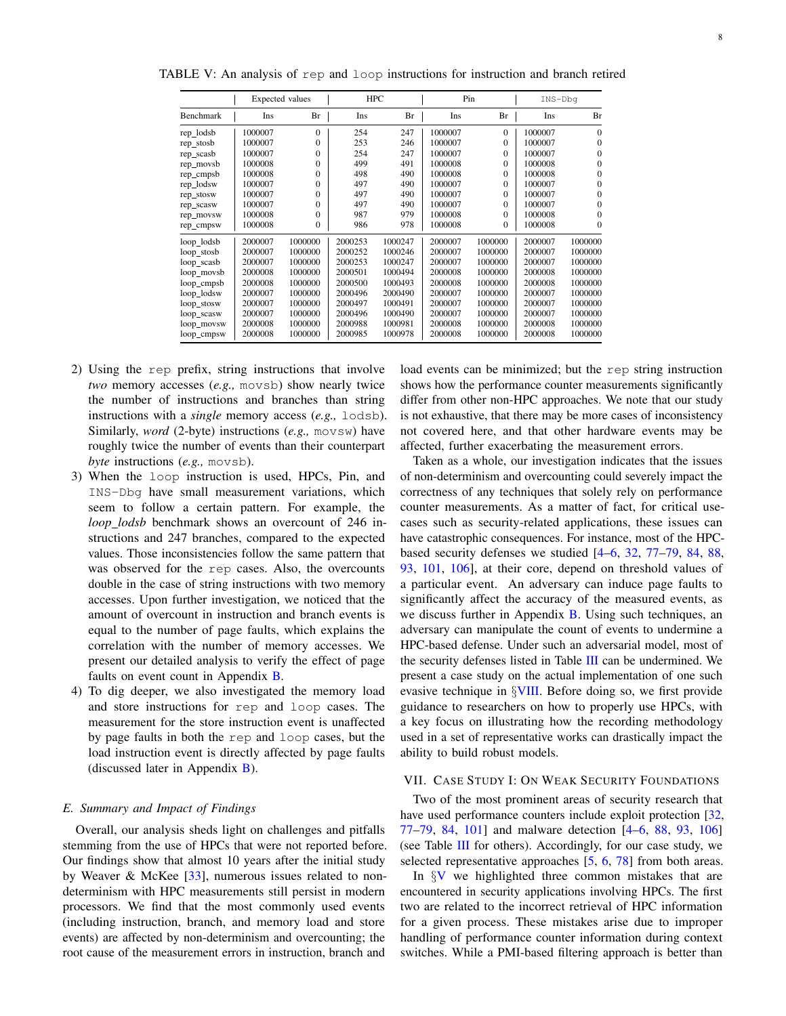<span id="page-7-1"></span>TABLE V: An analysis of rep and loop instructions for instruction and branch retired

|               |         | Expected values |         | <b>HPC</b> |         | Pin          | INS-Dbg |          |  |
|---------------|---------|-----------------|---------|------------|---------|--------------|---------|----------|--|
| Benchmark     | Ins     | Br              | Ins     | Br         | Ins     | Br           | Ins     | Br       |  |
| rep_lodsb     | 1000007 | $\mathbf{0}$    | 254     | 247        | 1000007 | $\Omega$     | 1000007 | $\theta$ |  |
| rep_stosb     | 1000007 | $\theta$        | 253     | 246        | 1000007 | $\Omega$     | 1000007 | $\theta$ |  |
| rep_scasb     | 1000007 | $\theta$        | 254     | 247        | 1000007 | $\Omega$     | 1000007 | $\Omega$ |  |
| rep_movsb     | 1000008 | $\theta$        | 499     | 491        | 1000008 | $\Omega$     | 1000008 | $\Omega$ |  |
| rep_cmpsb     | 1000008 | $\theta$        | 498     | 490        | 1000008 | $\Omega$     | 1000008 | $\theta$ |  |
| rep_lodsw     | 1000007 | $\theta$        | 497     | 490        | 1000007 | $\Omega$     | 1000007 | $\Omega$ |  |
| rep_stosw     | 1000007 | $\theta$        | 497     | 490        | 1000007 | $\mathbf{0}$ | 1000007 | $\theta$ |  |
| rep_scasw     | 1000007 | $\Omega$        | 497     | 490        | 1000007 | $\Omega$     | 1000007 | $\Omega$ |  |
| rep_movsw     | 1000008 | $\mathbf{0}$    | 987     | 979        | 1000008 | $\Omega$     | 1000008 | $\theta$ |  |
| rep_cmpsw     | 1000008 | $\mathbf{0}$    | 986     | 978        | 1000008 | $\mathbf{0}$ | 1000008 | $\theta$ |  |
| loop_lodsb    | 2000007 | 1000000         | 2000253 | 1000247    | 2000007 | 1000000      | 2000007 | 1000000  |  |
| loop_stosb    | 2000007 | 1000000         | 2000252 | 1000246    | 2000007 | 1000000      | 2000007 | 1000000  |  |
| loop_scasb    | 2000007 | 1000000         | 2000253 | 1000247    | 2000007 | 1000000      | 2000007 | 1000000  |  |
| loop_movsb    | 2000008 | 1000000         | 2000501 | 1000494    | 2000008 | 1000000      | 2000008 | 1000000  |  |
| loop_cmpsb    | 2000008 | 1000000         | 2000500 | 1000493    | 2000008 | 1000000      | 2000008 | 1000000  |  |
| $loop\_lodsw$ | 2000007 | 1000000         | 2000496 | 2000490    | 2000007 | 1000000      | 2000007 | 1000000  |  |
| loop_stosw    | 2000007 | 1000000         | 2000497 | 1000491    | 2000007 | 1000000      | 2000007 | 1000000  |  |
| loop_scasw    | 2000007 | 1000000         | 2000496 | 1000490    | 2000007 | 1000000      | 2000007 | 1000000  |  |
| loop_movsw    | 2000008 | 1000000         | 2000988 | 1000981    | 2000008 | 1000000      | 2000008 | 1000000  |  |
| loop_cmpsw    | 2000008 | 1000000         | 2000985 | 1000978    | 2000008 | 1000000      | 2000008 | 1000000  |  |

- 2) Using the rep prefix, string instructions that involve *two* memory accesses (*e.g.,* movsb) show nearly twice the number of instructions and branches than string instructions with a *single* memory access (*e.g.,* lodsb). Similarly, *word* (2-byte) instructions (*e.g.,* movsw) have roughly twice the number of events than their counterpart *byte* instructions (*e.g.,* movsb).
- 3) When the loop instruction is used, HPCs, Pin, and INS-Dbg have small measurement variations, which seem to follow a certain pattern. For example, the *loop lodsb* benchmark shows an overcount of 246 instructions and 247 branches, compared to the expected values. Those inconsistencies follow the same pattern that was observed for the rep cases. Also, the overcounts double in the case of string instructions with two memory accesses. Upon further investigation, we noticed that the amount of overcount in instruction and branch events is equal to the number of page faults, which explains the correlation with the number of memory accesses. We present our detailed analysis to verify the effect of page faults on event count in Appendix [B.](#page-16-0)
- 4) To dig deeper, we also investigated the memory load and store instructions for rep and loop cases. The measurement for the store instruction event is unaffected by page faults in both the rep and loop cases, but the load instruction event is directly affected by page faults (discussed later in Appendix [B\)](#page-16-0).

#### *E. Summary and Impact of Findings*

Overall, our analysis sheds light on challenges and pitfalls stemming from the use of HPCs that were not reported before. Our findings show that almost 10 years after the initial study by Weaver & McKee  $[33]$ , numerous issues related to nondeterminism with HPC measurements still persist in modern processors. We find that the most commonly used events (including instruction, branch, and memory load and store events) are affected by non-determinism and overcounting; the root cause of the measurement errors in instruction, branch and

load events can be minimized; but the rep string instruction shows how the performance counter measurements significantly differ from other non-HPC approaches. We note that our study is not exhaustive, that there may be more cases of inconsistency not covered here, and that other hardware events may be affected, further exacerbating the measurement errors.

Taken as a whole, our investigation indicates that the issues of non-determinism and overcounting could severely impact the correctness of any techniques that solely rely on performance counter measurements. As a matter of fact, for critical usecases such as security-related applications, these issues can have catastrophic consequences. For instance, most of the HPCbased security defenses we studied [\[4–](#page-13-3)[6,](#page-13-5) [32,](#page-13-15) [77–](#page-14-3)[79,](#page-14-6) [84,](#page-14-32) [88,](#page-14-36) [93,](#page-14-42) [101,](#page-15-3) [106\]](#page-15-8), at their core, depend on threshold values of a particular event. An adversary can induce page faults to significantly affect the accuracy of the measured events, as we discuss further in Appendix [B.](#page-16-0) Using such techniques, an adversary can manipulate the count of events to undermine a HPC-based defense. Under such an adversarial model, most of the security defenses listed in Table [III](#page-5-0) can be undermined. We present a case study on the actual implementation of one such evasive technique in §[VIII.](#page-10-0) Before doing so, we first provide guidance to researchers on how to properly use HPCs, with a key focus on illustrating how the recording methodology used in a set of representative works can drastically impact the ability to build robust models.

# <span id="page-7-0"></span>VII. CASE STUDY I: ON WEAK SECURITY FOUNDATIONS

Two of the most prominent areas of security research that have used performance counters include exploit protection [\[32,](#page-13-15) [77–](#page-14-3)[79,](#page-14-6) [84,](#page-14-32) [101\]](#page-15-3) and malware detection [\[4–](#page-13-3)[6,](#page-13-5) [88,](#page-14-36) [93,](#page-14-42) [106\]](#page-15-8) (see Table [III](#page-5-0) for others). Accordingly, for our case study, we selected representative approaches  $[5, 6, 78]$  $[5, 6, 78]$  $[5, 6, 78]$  $[5, 6, 78]$  $[5, 6, 78]$  from both areas.

In  $\S$ [V](#page-3-2) we highlighted three common mistakes that are encountered in security applications involving HPCs. The first two are related to the incorrect retrieval of HPC information for a given process. These mistakes arise due to improper handling of performance counter information during context switches. While a PMI-based filtering approach is better than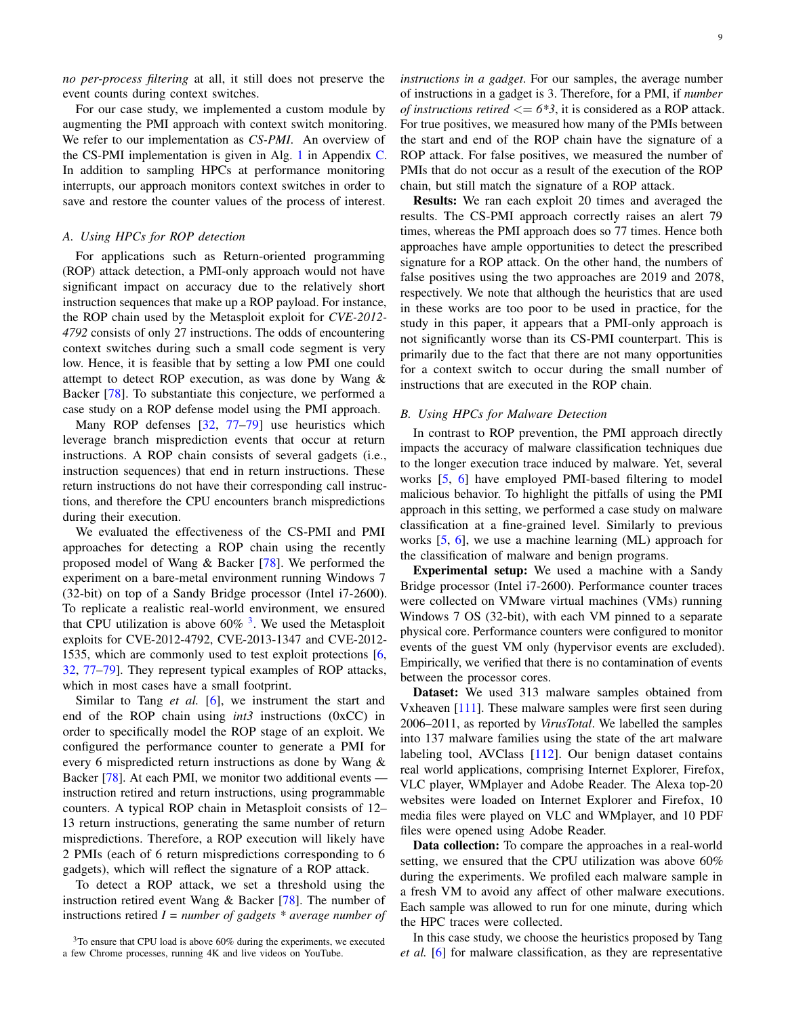*no per-process filtering* at all, it still does not preserve the event counts during context switches.

For our case study, we implemented a custom module by augmenting the PMI approach with context switch monitoring. We refer to our implementation as *CS-PMI*. An overview of the CS-PMI implementation is given in Alg. [1](#page-17-0) in Appendix [C.](#page-16-1) In addition to sampling HPCs at performance monitoring interrupts, our approach monitors context switches in order to save and restore the counter values of the process of interest.

### <span id="page-8-1"></span>*A. Using HPCs for ROP detection*

For applications such as Return-oriented programming (ROP) attack detection, a PMI-only approach would not have significant impact on accuracy due to the relatively short instruction sequences that make up a ROP payload. For instance, the ROP chain used by the Metasploit exploit for *CVE-2012- 4792* consists of only 27 instructions. The odds of encountering context switches during such a small code segment is very low. Hence, it is feasible that by setting a low PMI one could attempt to detect ROP execution, as was done by Wang & Backer [\[78\]](#page-14-5). To substantiate this conjecture, we performed a case study on a ROP defense model using the PMI approach.

Many ROP defenses [\[32,](#page-13-15) [77–](#page-14-3)[79\]](#page-14-6) use heuristics which leverage branch misprediction events that occur at return instructions. A ROP chain consists of several gadgets (i.e., instruction sequences) that end in return instructions. These return instructions do not have their corresponding call instructions, and therefore the CPU encounters branch mispredictions during their execution.

We evaluated the effectiveness of the CS-PMI and PMI approaches for detecting a ROP chain using the recently proposed model of Wang & Backer [\[78\]](#page-14-5). We performed the experiment on a bare-metal environment running Windows 7 (32-bit) on top of a Sandy Bridge processor (Intel i7-2600). To replicate a realistic real-world environment, we ensured that CPU utilization is above  $60\%$ <sup>[3](#page-8-0)</sup>. We used the Metasploit exploits for CVE-2012-4792, CVE-2013-1347 and CVE-2012- 1535, which are commonly used to test exploit protections [\[6,](#page-13-5) [32,](#page-13-15) [77](#page-14-3)[–79\]](#page-14-6). They represent typical examples of ROP attacks, which in most cases have a small footprint.

Similar to Tang *et al.* [\[6\]](#page-13-5), we instrument the start and end of the ROP chain using *int3* instructions (0xCC) in order to specifically model the ROP stage of an exploit. We configured the performance counter to generate a PMI for every 6 mispredicted return instructions as done by Wang & Backer [\[78\]](#page-14-5). At each PMI, we monitor two additional events instruction retired and return instructions, using programmable counters. A typical ROP chain in Metasploit consists of 12– 13 return instructions, generating the same number of return mispredictions. Therefore, a ROP execution will likely have 2 PMIs (each of 6 return mispredictions corresponding to 6 gadgets), which will reflect the signature of a ROP attack.

To detect a ROP attack, we set a threshold using the instruction retired event Wang & Backer [\[78\]](#page-14-5). The number of instructions retired *I = number of gadgets \* average number of*

<span id="page-8-0"></span> $3$ To ensure that CPU load is above 60% during the experiments, we executed a few Chrome processes, running 4K and live videos on YouTube.

*instructions in a gadget*. For our samples, the average number of instructions in a gadget is 3. Therefore, for a PMI, if *number of instructions retired*  $<= 6*3$ , it is considered as a ROP attack. For true positives, we measured how many of the PMIs between the start and end of the ROP chain have the signature of a ROP attack. For false positives, we measured the number of PMIs that do not occur as a result of the execution of the ROP chain, but still match the signature of a ROP attack.

Results: We ran each exploit 20 times and averaged the results. The CS-PMI approach correctly raises an alert 79 times, whereas the PMI approach does so 77 times. Hence both approaches have ample opportunities to detect the prescribed signature for a ROP attack. On the other hand, the numbers of false positives using the two approaches are 2019 and 2078, respectively. We note that although the heuristics that are used in these works are too poor to be used in practice, for the study in this paper, it appears that a PMI-only approach is not significantly worse than its CS-PMI counterpart. This is primarily due to the fact that there are not many opportunities for a context switch to occur during the small number of instructions that are executed in the ROP chain.

#### *B. Using HPCs for Malware Detection*

In contrast to ROP prevention, the PMI approach directly impacts the accuracy of malware classification techniques due to the longer execution trace induced by malware. Yet, several works [\[5,](#page-13-4) [6\]](#page-13-5) have employed PMI-based filtering to model malicious behavior. To highlight the pitfalls of using the PMI approach in this setting, we performed a case study on malware classification at a fine-grained level. Similarly to previous works [\[5,](#page-13-4) [6\]](#page-13-5), we use a machine learning (ML) approach for the classification of malware and benign programs.

Experimental setup: We used a machine with a Sandy Bridge processor (Intel i7-2600). Performance counter traces were collected on VMware virtual machines (VMs) running Windows 7 OS (32-bit), with each VM pinned to a separate physical core. Performance counters were configured to monitor events of the guest VM only (hypervisor events are excluded). Empirically, we verified that there is no contamination of events between the processor cores.

Dataset: We used 313 malware samples obtained from Vxheaven [\[111\]](#page-15-13). These malware samples were first seen during 2006–2011, as reported by *VirusTotal*. We labelled the samples into 137 malware families using the state of the art malware labeling tool, AVClass [\[112\]](#page-15-14). Our benign dataset contains real world applications, comprising Internet Explorer, Firefox, VLC player, WMplayer and Adobe Reader. The Alexa top-20 websites were loaded on Internet Explorer and Firefox, 10 media files were played on VLC and WMplayer, and 10 PDF files were opened using Adobe Reader.

Data collection: To compare the approaches in a real-world setting, we ensured that the CPU utilization was above 60% during the experiments. We profiled each malware sample in a fresh VM to avoid any affect of other malware executions. Each sample was allowed to run for one minute, during which the HPC traces were collected.

In this case study, we choose the heuristics proposed by Tang *et al.* [\[6\]](#page-13-5) for malware classification, as they are representative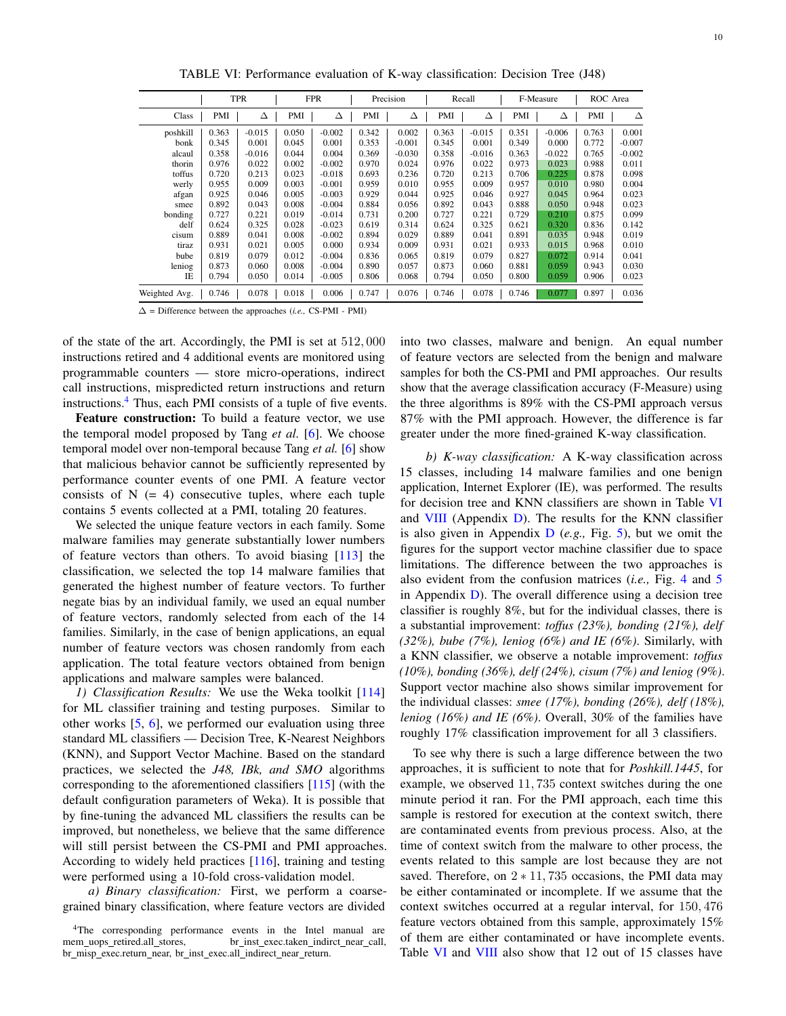<span id="page-9-1"></span>

|               |       | <b>TPR</b> |            | <b>FPR</b> |       | Precision |       | Recall   |       | F-Measure | ROC Area |          |
|---------------|-------|------------|------------|------------|-------|-----------|-------|----------|-------|-----------|----------|----------|
| Class         | PMI   | Δ          | <b>PMI</b> | Δ          | PMI   | Δ         | PMI   | Δ        | PMI   | Δ         | PMI      | Δ        |
| poshkill      | 0.363 | $-0.015$   | 0.050      | $-0.002$   | 0.342 | 0.002     | 0.363 | $-0.015$ | 0.351 | $-0.006$  | 0.763    | 0.001    |
| bonk          | 0.345 | 0.001      | 0.045      | 0.001      | 0.353 | $-0.001$  | 0.345 | 0.001    | 0.349 | 0.000     | 0.772    | $-0.007$ |
| alcaul        | 0.358 | $-0.016$   | 0.044      | 0.004      | 0.369 | $-0.030$  | 0.358 | $-0.016$ | 0.363 | $-0.022$  | 0.765    | $-0.002$ |
| thorin        | 0.976 | 0.022      | 0.002      | $-0.002$   | 0.970 | 0.024     | 0.976 | 0.022    | 0.973 | 0.023     | 0.988    | 0.011    |
| toffus        | 0.720 | 0.213      | 0.023      | $-0.018$   | 0.693 | 0.236     | 0.720 | 0.213    | 0.706 | 0.225     | 0.878    | 0.098    |
| werly         | 0.955 | 0.009      | 0.003      | $-0.001$   | 0.959 | 0.010     | 0.955 | 0.009    | 0.957 | 0.010     | 0.980    | 0.004    |
| afgan         | 0.925 | 0.046      | 0.005      | $-0.003$   | 0.929 | 0.044     | 0.925 | 0.046    | 0.927 | 0.045     | 0.964    | 0.023    |
| smee          | 0.892 | 0.043      | 0.008      | $-0.004$   | 0.884 | 0.056     | 0.892 | 0.043    | 0.888 | 0.050     | 0.948    | 0.023    |
| bonding       | 0.727 | 0.221      | 0.019      | $-0.014$   | 0.731 | 0.200     | 0.727 | 0.221    | 0.729 | 0.210     | 0.875    | 0.099    |
| delf          | 0.624 | 0.325      | 0.028      | $-0.023$   | 0.619 | 0.314     | 0.624 | 0.325    | 0.621 | 0.320     | 0.836    | 0.142    |
| cisum         | 0.889 | 0.041      | 0.008      | $-0.002$   | 0.894 | 0.029     | 0.889 | 0.041    | 0.891 | 0.035     | 0.948    | 0.019    |
| tiraz         | 0.931 | 0.021      | 0.005      | 0.000      | 0.934 | 0.009     | 0.931 | 0.021    | 0.933 | 0.015     | 0.968    | 0.010    |
| bube          | 0.819 | 0.079      | 0.012      | $-0.004$   | 0.836 | 0.065     | 0.819 | 0.079    | 0.827 | 0.072     | 0.914    | 0.041    |
| leniog        | 0.873 | 0.060      | 0.008      | $-0.004$   | 0.890 | 0.057     | 0.873 | 0.060    | 0.881 | 0.059     | 0.943    | 0.030    |
| IE            | 0.794 | 0.050      | 0.014      | $-0.005$   | 0.806 | 0.068     | 0.794 | 0.050    | 0.800 | 0.059     | 0.906    | 0.023    |
| Weighted Avg. | 0.746 | 0.078      | 0.018      | 0.006      | 0.747 | 0.076     | 0.746 | 0.078    | 0.746 | 0.077     | 0.897    | 0.036    |

TABLE VI: Performance evaluation of K-way classification: Decision Tree (J48)

∆ = Difference between the approaches (*i.e.,* CS-PMI - PMI)

of the state of the art. Accordingly, the PMI is set at 512, 000 instructions retired and 4 additional events are monitored using programmable counters — store micro-operations, indirect call instructions, mispredicted return instructions and return instructions.[4](#page-9-0) Thus, each PMI consists of a tuple of five events.

Feature construction: To build a feature vector, we use the temporal model proposed by Tang *et al.* [\[6\]](#page-13-5). We choose temporal model over non-temporal because Tang *et al.* [\[6\]](#page-13-5) show that malicious behavior cannot be sufficiently represented by performance counter events of one PMI. A feature vector consists of  $N$  (= 4) consecutive tuples, where each tuple contains 5 events collected at a PMI, totaling 20 features.

We selected the unique feature vectors in each family. Some malware families may generate substantially lower numbers of feature vectors than others. To avoid biasing [\[113\]](#page-15-15) the classification, we selected the top 14 malware families that generated the highest number of feature vectors. To further negate bias by an individual family, we used an equal number of feature vectors, randomly selected from each of the 14 families. Similarly, in the case of benign applications, an equal number of feature vectors was chosen randomly from each application. The total feature vectors obtained from benign applications and malware samples were balanced.

*1) Classification Results:* We use the Weka toolkit [\[114\]](#page-15-16) for ML classifier training and testing purposes. Similar to other works  $[5, 6]$  $[5, 6]$  $[5, 6]$ , we performed our evaluation using three standard ML classifiers — Decision Tree, K-Nearest Neighbors (KNN), and Support Vector Machine. Based on the standard practices, we selected the *J48, IBk, and SMO* algorithms corresponding to the aforementioned classifiers [\[115\]](#page-15-17) (with the default configuration parameters of Weka). It is possible that by fine-tuning the advanced ML classifiers the results can be improved, but nonetheless, we believe that the same difference will still persist between the CS-PMI and PMI approaches. According to widely held practices [\[116\]](#page-15-18), training and testing were performed using a 10-fold cross-validation model.

*a) Binary classification:* First, we perform a coarsegrained binary classification, where feature vectors are divided

into two classes, malware and benign. An equal number of feature vectors are selected from the benign and malware samples for both the CS-PMI and PMI approaches. Our results show that the average classification accuracy (F-Measure) using the three algorithms is 89% with the CS-PMI approach versus 87% with the PMI approach. However, the difference is far greater under the more fined-grained K-way classification.

*b) K-way classification:* A K-way classification across 15 classes, including 14 malware families and one benign application, Internet Explorer (IE), was performed. The results for decision tree and KNN classifiers are shown in Table [VI](#page-9-1) and [VIII](#page-18-0) (Appendix [D\)](#page-16-2). The results for the KNN classifier is also given in Appendix [D](#page-16-2) (*e.g.,* Fig. [5\)](#page-17-1), but we omit the figures for the support vector machine classifier due to space limitations. The difference between the two approaches is also evident from the confusion matrices (*i.e.,* Fig. [4](#page-17-2) and [5](#page-17-1) in Appendix  $D$ ). The overall difference using a decision tree classifier is roughly 8%, but for the individual classes, there is a substantial improvement: *toffus (23%), bonding (21%), delf (32%), bube (7%), leniog (6%) and IE (6%)*. Similarly, with a KNN classifier, we observe a notable improvement: *toffus (10%), bonding (36%), delf (24%), cisum (7%) and leniog (9%)*. Support vector machine also shows similar improvement for the individual classes: *smee (17%), bonding (26%), delf (18%), leniog (16%) and IE (6%)*. Overall, 30% of the families have roughly 17% classification improvement for all 3 classifiers.

To see why there is such a large difference between the two approaches, it is sufficient to note that for *Poshkill.1445*, for example, we observed 11, 735 context switches during the one minute period it ran. For the PMI approach, each time this sample is restored for execution at the context switch, there are contaminated events from previous process. Also, at the time of context switch from the malware to other process, the events related to this sample are lost because they are not saved. Therefore, on  $2 \times 11,735$  occasions, the PMI data may be either contaminated or incomplete. If we assume that the context switches occurred at a regular interval, for 150, 476 feature vectors obtained from this sample, approximately 15% of them are either contaminated or have incomplete events. Table [VI](#page-9-1) and [VIII](#page-18-0) also show that 12 out of 15 classes have

<span id="page-9-0"></span><sup>4</sup>The corresponding performance events in the Intel manual are mem uops retired.all stores, br inst exec.taken indirct near call, br\_misp\_exec.return\_near, br\_inst\_exec.all\_indirect\_near\_return.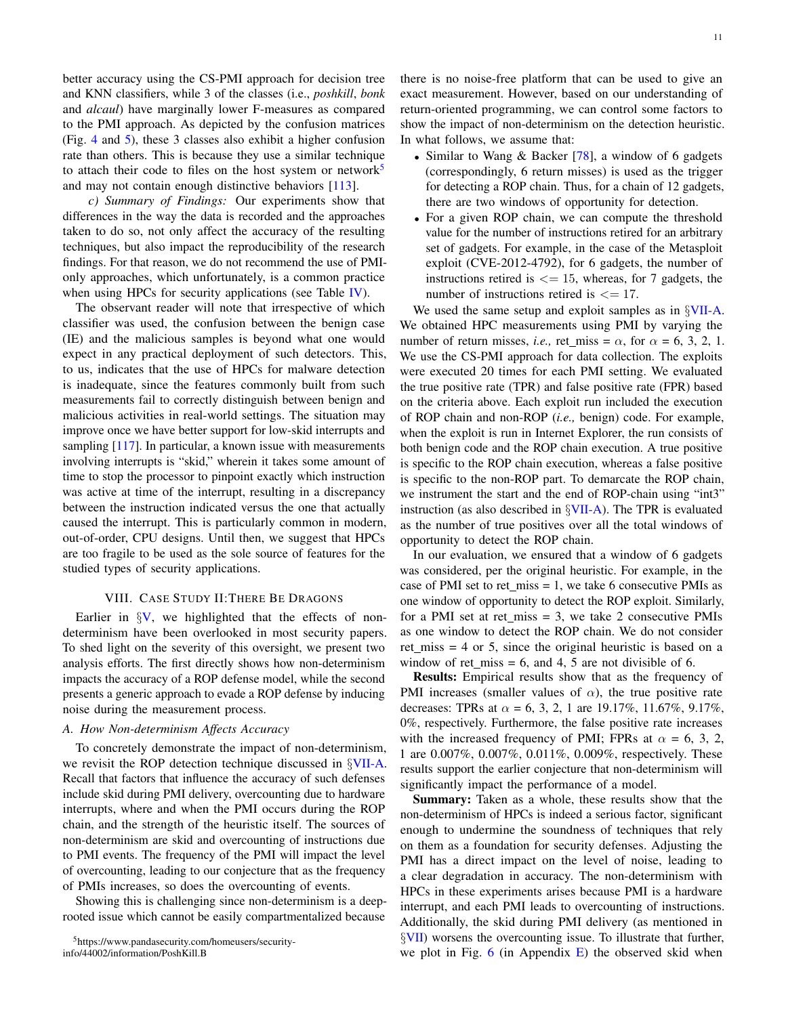better accuracy using the CS-PMI approach for decision tree and KNN classifiers, while 3 of the classes (i.e., *poshkill*, *bonk* and *alcaul*) have marginally lower F-measures as compared to the PMI approach. As depicted by the confusion matrices (Fig. [4](#page-17-2) and [5\)](#page-17-1), these 3 classes also exhibit a higher confusion rate than others. This is because they use a similar technique to attach their code to files on the host system or network<sup>[5](#page-10-1)</sup> and may not contain enough distinctive behaviors [\[113\]](#page-15-15).

*c) Summary of Findings:* Our experiments show that differences in the way the data is recorded and the approaches taken to do so, not only affect the accuracy of the resulting techniques, but also impact the reproducibility of the research findings. For that reason, we do not recommend the use of PMIonly approaches, which unfortunately, is a common practice when using HPCs for security applications (see Table [IV\)](#page-5-1).

The observant reader will note that irrespective of which classifier was used, the confusion between the benign case (IE) and the malicious samples is beyond what one would expect in any practical deployment of such detectors. This, to us, indicates that the use of HPCs for malware detection is inadequate, since the features commonly built from such measurements fail to correctly distinguish between benign and malicious activities in real-world settings. The situation may improve once we have better support for low-skid interrupts and sampling [\[117\]](#page-15-19). In particular, a known issue with measurements involving interrupts is "skid," wherein it takes some amount of time to stop the processor to pinpoint exactly which instruction was active at time of the interrupt, resulting in a discrepancy between the instruction indicated versus the one that actually caused the interrupt. This is particularly common in modern, out-of-order, CPU designs. Until then, we suggest that HPCs are too fragile to be used as the sole source of features for the studied types of security applications.

## VIII. CASE STUDY II:THERE BE DRAGONS

<span id="page-10-0"></span>Earlier in  $\frac{S}{V}$ , we highlighted that the effects of nondeterminism have been overlooked in most security papers. To shed light on the severity of this oversight, we present two analysis efforts. The first directly shows how non-determinism impacts the accuracy of a ROP defense model, while the second presents a generic approach to evade a ROP defense by inducing noise during the measurement process.

#### <span id="page-10-2"></span>*A. How Non-determinism Affects Accuracy*

To concretely demonstrate the impact of non-determinism, we revisit the ROP detection technique discussed in §[VII-A.](#page-8-1) Recall that factors that influence the accuracy of such defenses include skid during PMI delivery, overcounting due to hardware interrupts, where and when the PMI occurs during the ROP chain, and the strength of the heuristic itself. The sources of non-determinism are skid and overcounting of instructions due to PMI events. The frequency of the PMI will impact the level of overcounting, leading to our conjecture that as the frequency of PMIs increases, so does the overcounting of events.

Showing this is challenging since non-determinism is a deeprooted issue which cannot be easily compartmentalized because

info/44002/information/PoshKill.B

there is no noise-free platform that can be used to give an exact measurement. However, based on our understanding of return-oriented programming, we can control some factors to show the impact of non-determinism on the detection heuristic. In what follows, we assume that:

- Similar to Wang & Backer [\[78\]](#page-14-5), a window of 6 gadgets (correspondingly, 6 return misses) is used as the trigger for detecting a ROP chain. Thus, for a chain of 12 gadgets, there are two windows of opportunity for detection.
- For a given ROP chain, we can compute the threshold value for the number of instructions retired for an arbitrary set of gadgets. For example, in the case of the Metasploit exploit (CVE-2012-4792), for 6 gadgets, the number of instructions retired is  $\leq$  15, whereas, for 7 gadgets, the number of instructions retired is  $\leq$  = 17.

We used the same setup and exploit samples as in  $\S$ [VII-A.](#page-8-1) We obtained HPC measurements using PMI by varying the number of return misses, *i.e.*, ret\_miss =  $\alpha$ , for  $\alpha$  = 6, 3, 2, 1. We use the CS-PMI approach for data collection. The exploits were executed 20 times for each PMI setting. We evaluated the true positive rate (TPR) and false positive rate (FPR) based on the criteria above. Each exploit run included the execution of ROP chain and non-ROP (*i.e.,* benign) code. For example, when the exploit is run in Internet Explorer, the run consists of both benign code and the ROP chain execution. A true positive is specific to the ROP chain execution, whereas a false positive is specific to the non-ROP part. To demarcate the ROP chain, we instrument the start and the end of ROP-chain using "int3" instruction (as also described in §[VII-A\)](#page-8-1). The TPR is evaluated as the number of true positives over all the total windows of opportunity to detect the ROP chain.

In our evaluation, we ensured that a window of 6 gadgets was considered, per the original heuristic. For example, in the case of PMI set to ret\_miss = 1, we take 6 consecutive PMIs as one window of opportunity to detect the ROP exploit. Similarly, for a PMI set at ret miss  $= 3$ , we take 2 consecutive PMIs as one window to detect the ROP chain. We do not consider ret miss  $= 4$  or 5, since the original heuristic is based on a window of ret miss  $= 6$ , and 4, 5 are not divisible of 6.

Results: Empirical results show that as the frequency of PMI increases (smaller values of  $\alpha$ ), the true positive rate decreases: TPRs at  $\alpha = 6, 3, 2, 1$  are 19.17%, 11.67%, 9.17%, 0%, respectively. Furthermore, the false positive rate increases with the increased frequency of PMI; FPRs at  $\alpha = 6, 3, 2,$ 1 are 0.007%, 0.007%, 0.011%, 0.009%, respectively. These results support the earlier conjecture that non-determinism will significantly impact the performance of a model.

Summary: Taken as a whole, these results show that the non-determinism of HPCs is indeed a serious factor, significant enough to undermine the soundness of techniques that rely on them as a foundation for security defenses. Adjusting the PMI has a direct impact on the level of noise, leading to a clear degradation in accuracy. The non-determinism with HPCs in these experiments arises because PMI is a hardware interrupt, and each PMI leads to overcounting of instructions. Additionally, the skid during PMI delivery (as mentioned in §[VII\)](#page-7-0) worsens the overcounting issue. To illustrate that further, we plot in Fig.  $6$  (in Appendix [E\)](#page-17-3) the observed skid when

<span id="page-10-1"></span><sup>5</sup>https://www.pandasecurity.com/homeusers/security-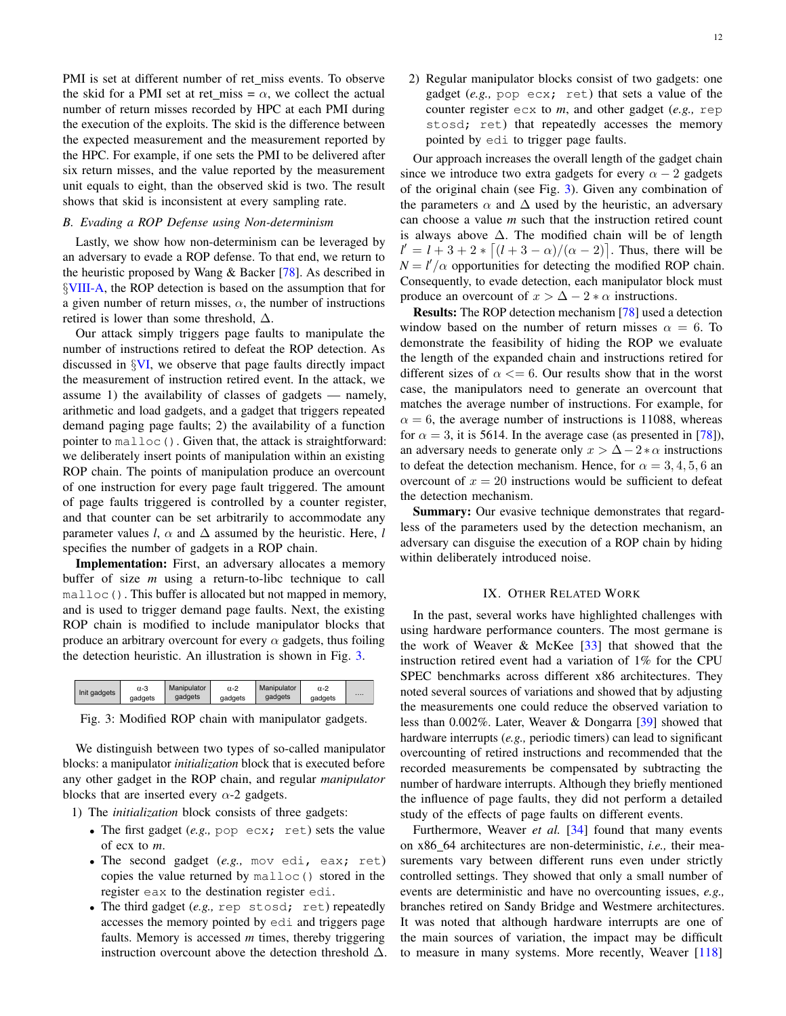PMI is set at different number of ret\_miss events. To observe the skid for a PMI set at ret miss =  $\alpha$ , we collect the actual number of return misses recorded by HPC at each PMI during the execution of the exploits. The skid is the difference between the expected measurement and the measurement reported by the HPC. For example, if one sets the PMI to be delivered after six return misses, and the value reported by the measurement unit equals to eight, than the observed skid is two. The result shows that skid is inconsistent at every sampling rate.

## *B. Evading a ROP Defense using Non-determinism*

Lastly, we show how non-determinism can be leveraged by an adversary to evade a ROP defense. To that end, we return to the heuristic proposed by Wang & Backer [\[78\]](#page-14-5). As described in §[VIII-A,](#page-10-2) the ROP detection is based on the assumption that for a given number of return misses,  $\alpha$ , the number of instructions retired is lower than some threshold,  $\Delta$ .

Our attack simply triggers page faults to manipulate the number of instructions retired to defeat the ROP detection. As discussed in  $\frac{S}{V}$ , we observe that page faults directly impact the measurement of instruction retired event. In the attack, we assume 1) the availability of classes of gadgets — namely, arithmetic and load gadgets, and a gadget that triggers repeated demand paging page faults; 2) the availability of a function pointer to malloc(). Given that, the attack is straightforward: we deliberately insert points of manipulation within an existing ROP chain. The points of manipulation produce an overcount of one instruction for every page fault triggered. The amount of page faults triggered is controlled by a counter register, and that counter can be set arbitrarily to accommodate any parameter values *l*,  $\alpha$  and  $\Delta$  assumed by the heuristic. Here, *l* specifies the number of gadgets in a ROP chain.

Implementation: First, an adversary allocates a memory buffer of size *m* using a return-to-libc technique to call malloc(). This buffer is allocated but not mapped in memory, and is used to trigger demand page faults. Next, the existing ROP chain is modified to include manipulator blocks that produce an arbitrary overcount for every  $\alpha$  gadgets, thus foiling the detection heuristic. An illustration is shown in Fig. [3.](#page-11-0)

<span id="page-11-0"></span>

| Init gadgets<br><br>gadgets<br>gadgets<br>gadgets<br>gadgets<br>aadgets |
|-------------------------------------------------------------------------|
|-------------------------------------------------------------------------|

Fig. 3: Modified ROP chain with manipulator gadgets.

We distinguish between two types of so-called manipulator blocks: a manipulator *initialization* block that is executed before any other gadget in the ROP chain, and regular *manipulator* blocks that are inserted every  $\alpha$ -2 gadgets.

- 1) The *initialization* block consists of three gadgets:
	- The first gadget (*e.g.*, pop ecx; ret) sets the value of ecx to *m*.
	- The second gadget (*e.g.,* mov edi, eax; ret) copies the value returned by malloc() stored in the register eax to the destination register edi.
	- The third gadget (*e.g.*, rep stosd; ret) repeatedly accesses the memory pointed by edi and triggers page faults. Memory is accessed *m* times, thereby triggering instruction overcount above the detection threshold  $\Delta$ .

2) Regular manipulator blocks consist of two gadgets: one gadget (*e.g.,* pop ecx; ret) that sets a value of the counter register ecx to *m*, and other gadget (*e.g.,* rep stosd; ret) that repeatedly accesses the memory pointed by edi to trigger page faults.

Our approach increases the overall length of the gadget chain since we introduce two extra gadgets for every  $\alpha - 2$  gadgets of the original chain (see Fig. [3\)](#page-11-0). Given any combination of the parameters  $\alpha$  and  $\Delta$  used by the heuristic, an adversary can choose a value *m* such that the instruction retired count is always above  $\Delta$ . The modified chain will be of length  $l' = l + 3 + 2 * [(l + 3 - \alpha)/(\alpha - 2)]$ . Thus, there will be  $N = l'/\alpha$  opportunities for detecting the modified ROP chain. Consequently, to evade detection, each manipulator block must produce an overcount of  $x > \Delta - 2 * \alpha$  instructions.

Results: The ROP detection mechanism [\[78\]](#page-14-5) used a detection window based on the number of return misses  $\alpha = 6$ . To demonstrate the feasibility of hiding the ROP we evaluate the length of the expanded chain and instructions retired for different sizes of  $\alpha \leq 6$ . Our results show that in the worst case, the manipulators need to generate an overcount that matches the average number of instructions. For example, for  $\alpha = 6$ , the average number of instructions is 11088, whereas for  $\alpha = 3$ , it is 5614. In the average case (as presented in [\[78\]](#page-14-5)), an adversary needs to generate only  $x > \Delta - 2 * \alpha$  instructions to defeat the detection mechanism. Hence, for  $\alpha = 3, 4, 5, 6$  and overcount of  $x = 20$  instructions would be sufficient to defeat the detection mechanism.

Summary: Our evasive technique demonstrates that regardless of the parameters used by the detection mechanism, an adversary can disguise the execution of a ROP chain by hiding within deliberately introduced noise.

## IX. OTHER RELATED WORK

In the past, several works have highlighted challenges with using hardware performance counters. The most germane is the work of Weaver & McKee  $[33]$  that showed that the instruction retired event had a variation of 1% for the CPU SPEC benchmarks across different x86 architectures. They noted several sources of variations and showed that by adjusting the measurements one could reduce the observed variation to less than 0.002%. Later, Weaver & Dongarra [\[39\]](#page-13-24) showed that hardware interrupts (*e.g.,* periodic timers) can lead to significant overcounting of retired instructions and recommended that the recorded measurements be compensated by subtracting the number of hardware interrupts. Although they briefly mentioned the influence of page faults, they did not perform a detailed study of the effects of page faults on different events.

Furthermore, Weaver *et al.* [\[34\]](#page-13-17) found that many events on x86 64 architectures are non-deterministic, *i.e.,* their measurements vary between different runs even under strictly controlled settings. They showed that only a small number of events are deterministic and have no overcounting issues, *e.g.,* branches retired on Sandy Bridge and Westmere architectures. It was noted that although hardware interrupts are one of the main sources of variation, the impact may be difficult to measure in many systems. More recently, Weaver [\[118\]](#page-15-20)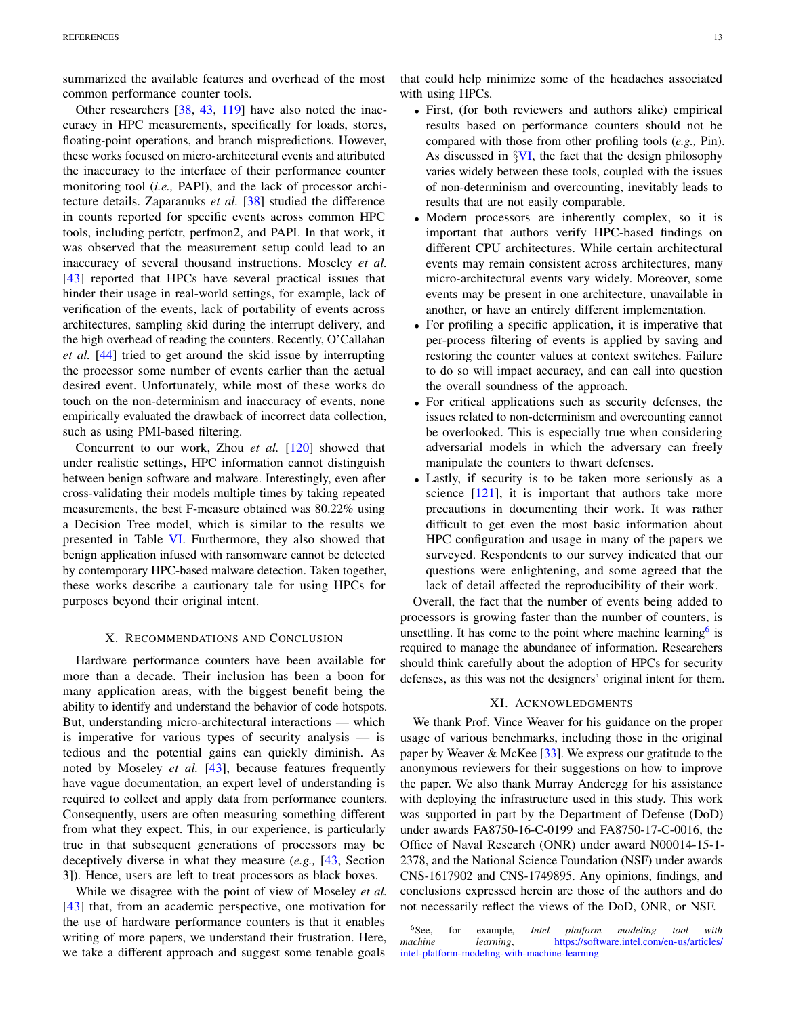summarized the available features and overhead of the most common performance counter tools.

Other researchers [\[38,](#page-13-23) [43,](#page-13-28) [119\]](#page-15-21) have also noted the inaccuracy in HPC measurements, specifically for loads, stores, floating-point operations, and branch mispredictions. However, these works focused on micro-architectural events and attributed the inaccuracy to the interface of their performance counter monitoring tool (*i.e.,* PAPI), and the lack of processor architecture details. Zaparanuks *et al.* [\[38\]](#page-13-23) studied the difference in counts reported for specific events across common HPC tools, including perfctr, perfmon2, and PAPI. In that work, it was observed that the measurement setup could lead to an inaccuracy of several thousand instructions. Moseley *et al.* [\[43\]](#page-13-28) reported that HPCs have several practical issues that hinder their usage in real-world settings, for example, lack of verification of the events, lack of portability of events across architectures, sampling skid during the interrupt delivery, and the high overhead of reading the counters. Recently, O'Callahan *et al.* [\[44\]](#page-13-29) tried to get around the skid issue by interrupting the processor some number of events earlier than the actual desired event. Unfortunately, while most of these works do touch on the non-determinism and inaccuracy of events, none empirically evaluated the drawback of incorrect data collection, such as using PMI-based filtering.

Concurrent to our work, Zhou *et al.* [\[120\]](#page-15-22) showed that under realistic settings, HPC information cannot distinguish between benign software and malware. Interestingly, even after cross-validating their models multiple times by taking repeated measurements, the best F-measure obtained was 80.22% using a Decision Tree model, which is similar to the results we presented in Table [VI.](#page-9-1) Furthermore, they also showed that benign application infused with ransomware cannot be detected by contemporary HPC-based malware detection. Taken together, these works describe a cautionary tale for using HPCs for purposes beyond their original intent.

## X. RECOMMENDATIONS AND CONCLUSION

Hardware performance counters have been available for more than a decade. Their inclusion has been a boon for many application areas, with the biggest benefit being the ability to identify and understand the behavior of code hotspots. But, understanding micro-architectural interactions — which is imperative for various types of security analysis — is tedious and the potential gains can quickly diminish. As noted by Moseley *et al.* [\[43\]](#page-13-28), because features frequently have vague documentation, an expert level of understanding is required to collect and apply data from performance counters. Consequently, users are often measuring something different from what they expect. This, in our experience, is particularly true in that subsequent generations of processors may be deceptively diverse in what they measure (*e.g.,* [\[43,](#page-13-28) Section 3]). Hence, users are left to treat processors as black boxes.

While we disagree with the point of view of Moseley *et al.* [\[43\]](#page-13-28) that, from an academic perspective, one motivation for the use of hardware performance counters is that it enables writing of more papers, we understand their frustration. Here, we take a different approach and suggest some tenable goals

that could help minimize some of the headaches associated with using HPCs.

- First, (for both reviewers and authors alike) empirical results based on performance counters should not be compared with those from other profiling tools (*e.g.,* Pin). As discussed in  $\frac{V}{V}$ , the fact that the design philosophy varies widely between these tools, coupled with the issues of non-determinism and overcounting, inevitably leads to results that are not easily comparable.
- Modern processors are inherently complex, so it is important that authors verify HPC-based findings on different CPU architectures. While certain architectural events may remain consistent across architectures, many micro-architectural events vary widely. Moreover, some events may be present in one architecture, unavailable in another, or have an entirely different implementation.
- For profiling a specific application, it is imperative that per-process filtering of events is applied by saving and restoring the counter values at context switches. Failure to do so will impact accuracy, and can call into question the overall soundness of the approach.
- For critical applications such as security defenses, the issues related to non-determinism and overcounting cannot be overlooked. This is especially true when considering adversarial models in which the adversary can freely manipulate the counters to thwart defenses.
- Lastly, if security is to be taken more seriously as a science  $[121]$ , it is important that authors take more precautions in documenting their work. It was rather difficult to get even the most basic information about HPC configuration and usage in many of the papers we surveyed. Respondents to our survey indicated that our questions were enlightening, and some agreed that the lack of detail affected the reproducibility of their work.

Overall, the fact that the number of events being added to processors is growing faster than the number of counters, is unsettling. It has come to the point where machine learning<sup>[6](#page-12-0)</sup> is required to manage the abundance of information. Researchers should think carefully about the adoption of HPCs for security defenses, as this was not the designers' original intent for them.

## XI. ACKNOWLEDGMENTS

We thank Prof. Vince Weaver for his guidance on the proper usage of various benchmarks, including those in the original paper by Weaver & McKee  $[33]$ . We express our gratitude to the anonymous reviewers for their suggestions on how to improve the paper. We also thank Murray Anderegg for his assistance with deploying the infrastructure used in this study. This work was supported in part by the Department of Defense (DoD) under awards FA8750-16-C-0199 and FA8750-17-C-0016, the Office of Naval Research (ONR) under award N00014-15-1- 2378, and the National Science Foundation (NSF) under awards CNS-1617902 and CNS-1749895. Any opinions, findings, and conclusions expressed herein are those of the authors and do not necessarily reflect the views of the DoD, ONR, or NSF.

<span id="page-12-0"></span><sup>6</sup>See, for example, *Intel platform modeling tool with machine learning*, [https://software.intel.com/en-us/articles/](https://software.intel.com/en-us/articles/intel-platform-modeling-with-machine-learning) [intel-platform-modeling-with-machine-learning](https://software.intel.com/en-us/articles/intel-platform-modeling-with-machine-learning)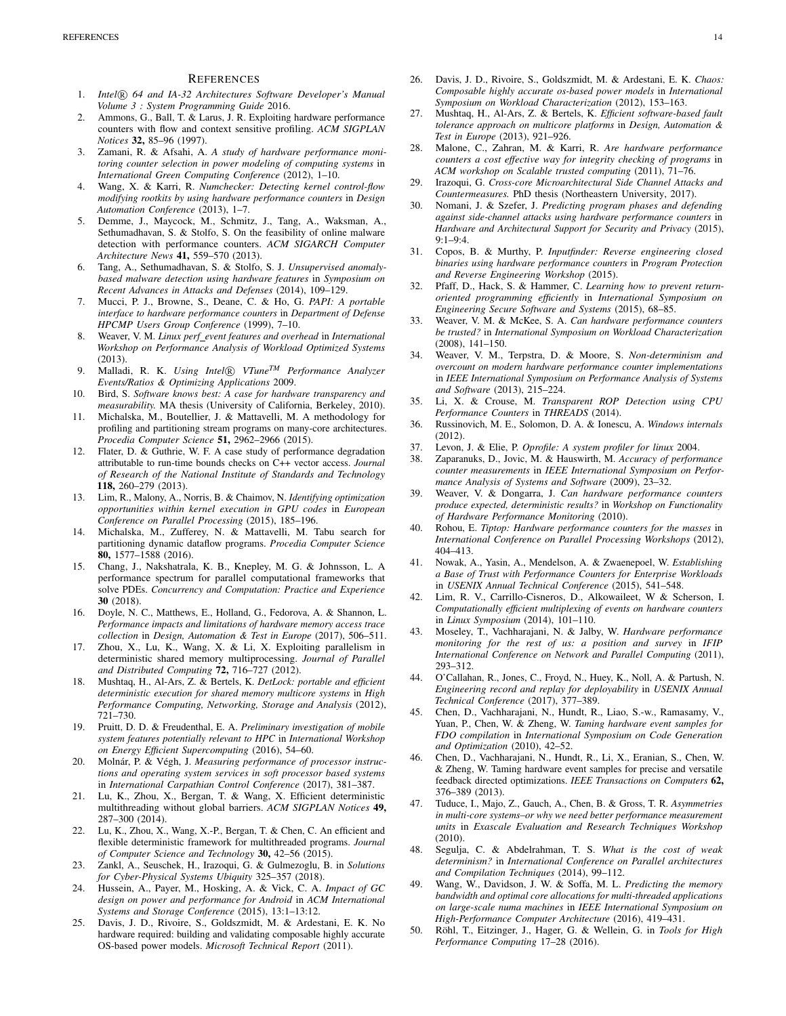#### **REFERENCES**

- <span id="page-13-0"></span>1. *Intel* R *64 and IA-32 Architectures Software Developer's Manual Volume 3 : System Programming Guide* 2016.
- <span id="page-13-1"></span>2. Ammons, G., Ball, T. & Larus, J. R. Exploiting hardware performance counters with flow and context sensitive profiling. *ACM SIGPLAN Notices* 32, 85–96 (1997).
- <span id="page-13-2"></span>3. Zamani, R. & Afsahi, A. *A study of hardware performance monitoring counter selection in power modeling of computing systems* in *International Green Computing Conference* (2012), 1–10.
- <span id="page-13-3"></span>4. Wang, X. & Karri, R. *Numchecker: Detecting kernel control-flow modifying rootkits by using hardware performance counters* in *Design Automation Conference* (2013), 1–7.
- <span id="page-13-4"></span>5. Demme, J., Maycock, M., Schmitz, J., Tang, A., Waksman, A., Sethumadhavan, S. & Stolfo, S. On the feasibility of online malware detection with performance counters. *ACM SIGARCH Computer Architecture News* 41, 559–570 (2013).
- <span id="page-13-5"></span>6. Tang, A., Sethumadhavan, S. & Stolfo, S. J. *Unsupervised anomalybased malware detection using hardware features* in *Symposium on Recent Advances in Attacks and Defenses* (2014), 109–129.
- <span id="page-13-6"></span>7. Mucci, P. J., Browne, S., Deane, C. & Ho, G. *PAPI: A portable interface to hardware performance counters* in *Department of Defense HPCMP Users Group Conference* (1999), 7–10.
- <span id="page-13-7"></span>8. Weaver, V. M. *Linux perf event features and overhead* in *International Workshop on Performance Analysis of Workload Optimized Systems* (2013).
- <span id="page-13-8"></span>9. Malladi, R. K. *Using Intel R VTune<sup>TM</sup> Performance Analyzer Events/Ratios & Optimizing Applications* 2009.
- <span id="page-13-9"></span>10. Bird, S. *Software knows best: A case for hardware transparency and measurability.* MA thesis (University of California, Berkeley, 2010).
- <span id="page-13-35"></span>11. Michalska, M., Boutellier, J. & Mattavelli, M. A methodology for profiling and partitioning stream programs on many-core architectures. *Procedia Computer Science* 51, 2962–2966 (2015).
- <span id="page-13-36"></span>12. Flater, D. & Guthrie, W. F. A case study of performance degradation attributable to run-time bounds checks on C++ vector access. *Journal of Research of the National Institute of Standards and Technology* 118, 260–279 (2013).
- <span id="page-13-38"></span>13. Lim, R., Malony, A., Norris, B. & Chaimov, N. *Identifying optimization opportunities within kernel execution in GPU codes* in *European Conference on Parallel Processing* (2015), 185–196.
- <span id="page-13-39"></span>14. Michalska, M., Zufferey, N. & Mattavelli, M. Tabu search for partitioning dynamic dataflow programs. *Procedia Computer Science* 80, 1577–1588 (2016).
- <span id="page-13-40"></span>15. Chang, J., Nakshatrala, K. B., Knepley, M. G. & Johnsson, L. A performance spectrum for parallel computational frameworks that solve PDEs. *Concurrency and Computation: Practice and Experience* 30 (2018).
- <span id="page-13-41"></span>16. Doyle, N. C., Matthews, E., Holland, G., Fedorova, A. & Shannon, L. *Performance impacts and limitations of hardware memory access trace collection* in *Design, Automation & Test in Europe* (2017), 506–511.
- <span id="page-13-42"></span>17. Zhou, X., Lu, K., Wang, X. & Li, X. Exploiting parallelism in deterministic shared memory multiprocessing. *Journal of Parallel and Distributed Computing* 72, 716–727 (2012).
- <span id="page-13-43"></span>18. Mushtaq, H., Al-Ars, Z. & Bertels, K. *DetLock: portable and efficient deterministic execution for shared memory multicore systems* in *High Performance Computing, Networking, Storage and Analysis* (2012), 721–730.
- <span id="page-13-44"></span>19. Pruitt, D. D. & Freudenthal, E. A. *Preliminary investigation of mobile system features potentially relevant to HPC* in *International Workshop on Energy Efficient Supercomputing* (2016), 54–60.
- <span id="page-13-45"></span>20. Molnár, P. & Végh, J. Measuring performance of processor instruc*tions and operating system services in soft processor based systems* in *International Carpathian Control Conference* (2017), 381–387.
- <span id="page-13-46"></span>21. Lu, K., Zhou, X., Bergan, T. & Wang, X. Efficient deterministic multithreading without global barriers. *ACM SIGPLAN Notices* 49, 287–300 (2014).
- <span id="page-13-47"></span>22. Lu, K., Zhou, X., Wang, X.-P., Bergan, T. & Chen, C. An efficient and flexible deterministic framework for multithreaded programs. *Journal of Computer Science and Technology* 30, 42–56 (2015).
- <span id="page-13-10"></span>23. Zankl, A., Seuschek, H., Irazoqui, G. & Gulmezoglu, B. in *Solutions for Cyber-Physical Systems Ubiquity* 325–357 (2018).
- <span id="page-13-11"></span>24. Hussein, A., Payer, M., Hosking, A. & Vick, C. A. *Impact of GC design on power and performance for Android* in *ACM International Systems and Storage Conference* (2015), 13:1–13:12.
- <span id="page-13-21"></span>25. Davis, J. D., Rivoire, S., Goldszmidt, M. & Ardestani, E. K. No hardware required: building and validating composable highly accurate OS-based power models. *Microsoft Technical Report* (2011).
- <span id="page-13-22"></span>26. Davis, J. D., Rivoire, S., Goldszmidt, M. & Ardestani, E. K. *Chaos: Composable highly accurate os-based power models* in *International Symposium on Workload Characterization* (2012), 153–163.
- <span id="page-13-12"></span>27. Mushtaq, H., Al-Ars, Z. & Bertels, K. *Efficient software-based fault tolerance approach on multicore platforms* in *Design, Automation & Test in Europe* (2013), 921–926.
- <span id="page-13-13"></span>28. Malone, C., Zahran, M. & Karri, R. *Are hardware performance counters a cost effective way for integrity checking of programs* in *ACM workshop on Scalable trusted computing* (2011), 71–76.
- <span id="page-13-49"></span>29. Irazoqui, G. *Cross-core Microarchitectural Side Channel Attacks and Countermeasures.* PhD thesis (Northeastern University, 2017).
- <span id="page-13-48"></span>30. Nomani, J. & Szefer, J. *Predicting program phases and defending against side-channel attacks using hardware performance counters* in *Hardware and Architectural Support for Security and Privacy* (2015), 9:1–9:4.
- <span id="page-13-14"></span>31. Copos, B. & Murthy, P. *Inputfinder: Reverse engineering closed binaries using hardware performance counters* in *Program Protection and Reverse Engineering Workshop* (2015).
- <span id="page-13-15"></span>32. Pfaff, D., Hack, S. & Hammer, C. *Learning how to prevent returnoriented programming efficiently* in *International Symposium on Engineering Secure Software and Systems* (2015), 68–85.
- <span id="page-13-16"></span>33. Weaver, V. M. & McKee, S. A. *Can hardware performance counters be trusted?* in *International Symposium on Workload Characterization* (2008), 141–150.
- <span id="page-13-17"></span>34. Weaver, V. M., Terpstra, D. & Moore, S. *Non-determinism and overcount on modern hardware performance counter implementations* in *IEEE International Symposium on Performance Analysis of Systems and Software* (2013), 215–224.
- <span id="page-13-18"></span>35. Li, X. & Crouse, M. *Transparent ROP Detection using CPU Performance Counters* in *THREADS* (2014).
- <span id="page-13-19"></span>36. Russinovich, M. E., Solomon, D. A. & Ionescu, A. *Windows internals* (2012).
- <span id="page-13-20"></span>37. Levon, J. & Elie, P. *Oprofile: A system profiler for linux* 2004.
- <span id="page-13-23"></span>38. Zaparanuks, D., Jovic, M. & Hauswirth, M. *Accuracy of performance counter measurements* in *IEEE International Symposium on Performance Analysis of Systems and Software* (2009), 23–32.
- <span id="page-13-24"></span>39. Weaver, V. & Dongarra, J. *Can hardware performance counters produce expected, deterministic results?* in *Workshop on Functionality of Hardware Performance Monitoring* (2010).
- <span id="page-13-25"></span>40. Rohou, E. *Tiptop: Hardware performance counters for the masses* in *International Conference on Parallel Processing Workshops* (2012), 404–413.
- <span id="page-13-26"></span>41. Nowak, A., Yasin, A., Mendelson, A. & Zwaenepoel, W. *Establishing a Base of Trust with Performance Counters for Enterprise Workloads* in *USENIX Annual Technical Conference* (2015), 541–548.
- <span id="page-13-27"></span>42. Lim, R. V., Carrillo-Cisneros, D., Alkowaileet, W & Scherson, I. *Computationally efficient multiplexing of events on hardware counters* in *Linux Symposium* (2014), 101–110.
- <span id="page-13-28"></span>43. Moseley, T., Vachharajani, N. & Jalby, W. *Hardware performance monitoring for the rest of us: a position and survey* in *IFIP International Conference on Network and Parallel Computing* (2011), 293–312.
- <span id="page-13-29"></span>44. O'Callahan, R., Jones, C., Froyd, N., Huey, K., Noll, A. & Partush, N. *Engineering record and replay for deployability* in *USENIX Annual Technical Conference* (2017), 377–389.
- <span id="page-13-30"></span>45. Chen, D., Vachharajani, N., Hundt, R., Liao, S.-w., Ramasamy, V., Yuan, P., Chen, W. & Zheng, W. *Taming hardware event samples for FDO compilation* in *International Symposium on Code Generation and Optimization* (2010), 42–52.
- <span id="page-13-31"></span>46. Chen, D., Vachharajani, N., Hundt, R., Li, X., Eranian, S., Chen, W. & Zheng, W. Taming hardware event samples for precise and versatile feedback directed optimizations. *IEEE Transactions on Computers* 62, 376–389 (2013).
- <span id="page-13-32"></span>47. Tuduce, I., Majo, Z., Gauch, A., Chen, B. & Gross, T. R. *Asymmetries in multi-core systems–or why we need better performance measurement units* in *Exascale Evaluation and Research Techniques Workshop* (2010).
- <span id="page-13-33"></span>48. Segulja, C. & Abdelrahman, T. S. *What is the cost of weak determinism?* in *International Conference on Parallel architectures and Compilation Techniques* (2014), 99–112.
- <span id="page-13-34"></span>49. Wang, W., Davidson, J. W. & Soffa, M. L. *Predicting the memory bandwidth and optimal core allocations for multi-threaded applications on large-scale numa machines* in *IEEE International Symposium on High-Performance Computer Architecture* (2016), 419–431.
- <span id="page-13-37"></span>50. Röhl, T., Eitzinger, J., Hager, G. & Wellein, G. in Tools for High *Performance Computing* 17–28 (2016).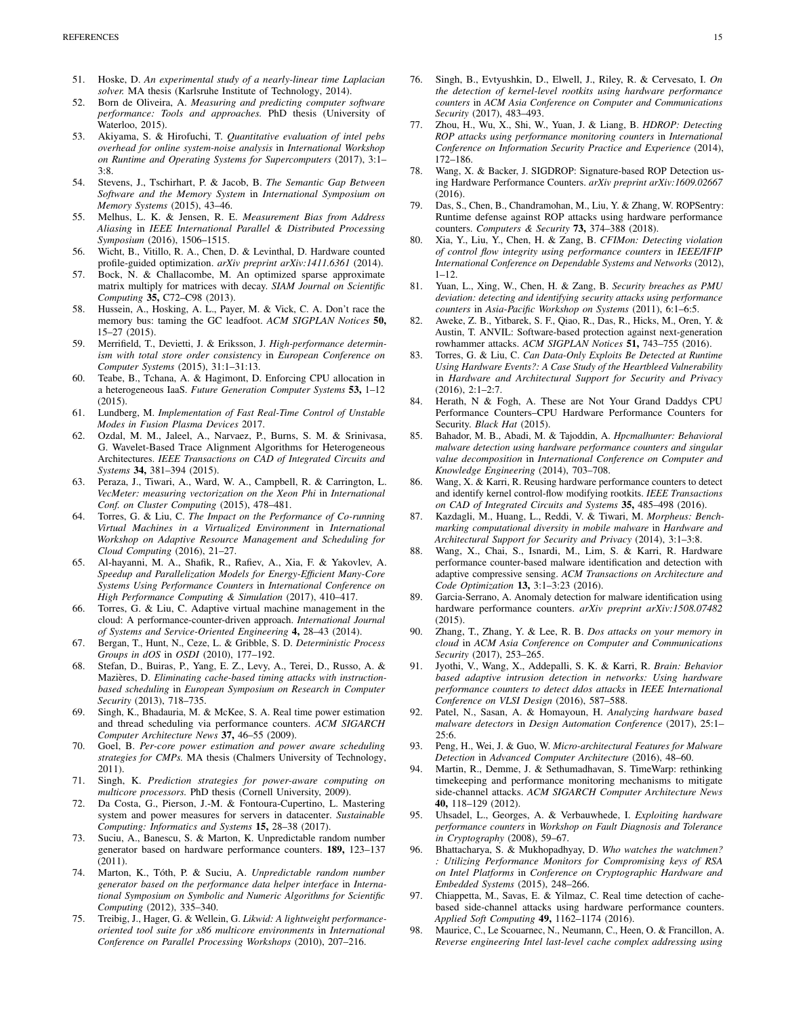- <span id="page-14-11"></span>51. Hoske, D. *An experimental study of a nearly-linear time Laplacian solver.* MA thesis (Karlsruhe Institute of Technology, 2014).
- <span id="page-14-12"></span>52. Born de Oliveira, A. *Measuring and predicting computer software performance: Tools and approaches.* PhD thesis (University of Waterloo, 2015).
- <span id="page-14-13"></span>53. Akiyama, S. & Hirofuchi, T. *Quantitative evaluation of intel pebs overhead for online system-noise analysis* in *International Workshop on Runtime and Operating Systems for Supercomputers* (2017), 3:1– 3:8.
- <span id="page-14-14"></span>54. Stevens, J., Tschirhart, P. & Jacob, B. *The Semantic Gap Between Software and the Memory System* in *International Symposium on Memory Systems* (2015), 43–46.
- <span id="page-14-15"></span>55. Melhus, L. K. & Jensen, R. E. *Measurement Bias from Address Aliasing* in *IEEE International Parallel & Distributed Processing Symposium* (2016), 1506–1515.
- <span id="page-14-16"></span>56. Wicht, B., Vitillo, R. A., Chen, D. & Levinthal, D. Hardware counted profile-guided optimization. *arXiv preprint arXiv:1411.6361* (2014).
- <span id="page-14-17"></span>57. Bock, N. & Challacombe, M. An optimized sparse approximate matrix multiply for matrices with decay. *SIAM Journal on Scientific Computing* 35, C72–C98 (2013).
- <span id="page-14-18"></span>58. Hussein, A., Hosking, A. L., Payer, M. & Vick, C. A. Don't race the memory bus: taming the GC leadfoot. *ACM SIGPLAN Notices* 50, 15–27 (2015).
- <span id="page-14-19"></span>59. Merrifield, T., Devietti, J. & Eriksson, J. *High-performance determinism with total store order consistency* in *European Conference on Computer Systems* (2015), 31:1–31:13.
- <span id="page-14-20"></span>60. Teabe, B., Tchana, A. & Hagimont, D. Enforcing CPU allocation in a heterogeneous IaaS. *Future Generation Computer Systems* 53, 1–12 (2015).
- <span id="page-14-9"></span>61. Lundberg, M. *Implementation of Fast Real-Time Control of Unstable Modes in Fusion Plasma Devices* 2017.
- <span id="page-14-21"></span>62. Ozdal, M. M., Jaleel, A., Narvaez, P., Burns, S. M. & Srinivasa, G. Wavelet-Based Trace Alignment Algorithms for Heterogeneous Architectures. *IEEE Transactions on CAD of Integrated Circuits and Systems* 34, 381–394 (2015).
- <span id="page-14-22"></span>63. Peraza, J., Tiwari, A., Ward, W. A., Campbell, R. & Carrington, L. *VecMeter: measuring vectorization on the Xeon Phi* in *International Conf. on Cluster Computing* (2015), 478–481.
- <span id="page-14-23"></span>64. Torres, G. & Liu, C. *The Impact on the Performance of Co-running Virtual Machines in a Virtualized Environment* in *International Workshop on Adaptive Resource Management and Scheduling for Cloud Computing* (2016), 21–27.
- <span id="page-14-24"></span>65. Al-hayanni, M. A., Shafik, R., Rafiev, A., Xia, F. & Yakovlev, A. *Speedup and Parallelization Models for Energy-Efficient Many-Core Systems Using Performance Counters* in *International Conference on High Performance Computing & Simulation* (2017), 410–417.
- <span id="page-14-25"></span>66. Torres, G. & Liu, C. Adaptive virtual machine management in the cloud: A performance-counter-driven approach. *International Journal of Systems and Service-Oriented Engineering* 4, 28–43 (2014).
- <span id="page-14-26"></span>67. Bergan, T., Hunt, N., Ceze, L. & Gribble, S. D. *Deterministic Process Groups in dOS* in *OSDI* (2010), 177–192.
- <span id="page-14-4"></span>68. Stefan, D., Buiras, P., Yang, E. Z., Levy, A., Terei, D., Russo, A. & Mazières, D. *Eliminating cache-based timing attacks with instructionbased scheduling* in *European Symposium on Research in Computer Security* (2013), 718–735.
- <span id="page-14-0"></span>69. Singh, K., Bhadauria, M. & McKee, S. A. Real time power estimation and thread scheduling via performance counters. *ACM SIGARCH Computer Architecture News* 37, 46–55 (2009).
- <span id="page-14-7"></span>70. Goel, B. *Per-core power estimation and power aware scheduling strategies for CMPs.* MA thesis (Chalmers University of Technology, 2011).
- <span id="page-14-1"></span>71. Singh, K. *Prediction strategies for power-aware computing on multicore processors.* PhD thesis (Cornell University, 2009).
- <span id="page-14-8"></span>72. Da Costa, G., Pierson, J.-M. & Fontoura-Cupertino, L. Mastering system and power measures for servers in datacenter. *Sustainable Computing: Informatics and Systems* 15, 28–38 (2017).
- <span id="page-14-10"></span>73. Suciu, A., Banescu, S. & Marton, K. Unpredictable random number generator based on hardware performance counters. 189, 123–137 (2011).
- <span id="page-14-27"></span>74. Marton, K., Tóth, P. & Suciu, A. *Unpredictable random number generator based on the performance data helper interface* in *International Symposium on Symbolic and Numeric Algorithms for Scientific Computing* (2012), 335–340.
- <span id="page-14-2"></span>75. Treibig, J., Hager, G. & Wellein, G. *Likwid: A lightweight performanceoriented tool suite for x86 multicore environments* in *International Conference on Parallel Processing Workshops* (2010), 207–216.
- <span id="page-14-39"></span>76. Singh, B., Evtyushkin, D., Elwell, J., Riley, R. & Cervesato, I. *On the detection of kernel-level rootkits using hardware performance counters* in *ACM Asia Conference on Computer and Communications Security* (2017), 483–493.
- <span id="page-14-3"></span>77. Zhou, H., Wu, X., Shi, W., Yuan, J. & Liang, B. *HDROP: Detecting ROP attacks using performance monitoring counters* in *International Conference on Information Security Practice and Experience* (2014), 172–186.
- <span id="page-14-5"></span>78. Wang, X. & Backer, J. SIGDROP: Signature-based ROP Detection using Hardware Performance Counters. *arXiv preprint arXiv:1609.02667* (2016).
- <span id="page-14-6"></span>79. Das, S., Chen, B., Chandramohan, M., Liu, Y. & Zhang, W. ROPSentry: Runtime defense against ROP attacks using hardware performance counters. *Computers & Security* 73, 374–388 (2018).
- <span id="page-14-28"></span>80. Xia, Y., Liu, Y., Chen, H. & Zang, B. *CFIMon: Detecting violation of control flow integrity using performance counters* in *IEEE/IFIP International Conference on Dependable Systems and Networks* (2012),  $1 - 12$ .
- <span id="page-14-29"></span>81. Yuan, L., Xing, W., Chen, H. & Zang, B. *Security breaches as PMU deviation: detecting and identifying security attacks using performance counters* in *Asia-Pacific Workshop on Systems* (2011), 6:1–6:5.
- <span id="page-14-30"></span>82. Aweke, Z. B., Yitbarek, S. F., Qiao, R., Das, R., Hicks, M., Oren, Y. & Austin, T. ANVIL: Software-based protection against next-generation rowhammer attacks. *ACM SIGPLAN Notices* 51, 743–755 (2016).
- <span id="page-14-31"></span>83. Torres, G. & Liu, C. *Can Data-Only Exploits Be Detected at Runtime Using Hardware Events?: A Case Study of the Heartbleed Vulnerability* in *Hardware and Architectural Support for Security and Privacy* (2016), 2:1–2:7.
- <span id="page-14-32"></span>84. Herath, N & Fogh, A. These are Not Your Grand Daddys CPU Performance Counters–CPU Hardware Performance Counters for Security. *Black Hat* (2015).
- <span id="page-14-33"></span>85. Bahador, M. B., Abadi, M. & Tajoddin, A. *Hpcmalhunter: Behavioral malware detection using hardware performance counters and singular value decomposition* in *International Conference on Computer and Knowledge Engineering* (2014), 703–708.
- <span id="page-14-34"></span>86. Wang, X. & Karri, R. Reusing hardware performance counters to detect and identify kernel control-flow modifying rootkits. *IEEE Transactions on CAD of Integrated Circuits and Systems* 35, 485–498 (2016).
- <span id="page-14-35"></span>87. Kazdagli, M., Huang, L., Reddi, V. & Tiwari, M. *Morpheus: Benchmarking computational diversity in mobile malware* in *Hardware and Architectural Support for Security and Privacy* (2014), 3:1–3:8.
- <span id="page-14-36"></span>88. Wang, X., Chai, S., Isnardi, M., Lim, S. & Karri, R. Hardware performance counter-based malware identification and detection with adaptive compressive sensing. *ACM Transactions on Architecture and Code Optimization* 13, 3:1–3:23 (2016).
- <span id="page-14-37"></span>89. Garcia-Serrano, A. Anomaly detection for malware identification using hardware performance counters. *arXiv preprint arXiv:1508.07482* (2015).
- <span id="page-14-38"></span>90. Zhang, T., Zhang, Y. & Lee, R. B. *Dos attacks on your memory in cloud* in *ACM Asia Conference on Computer and Communications Security* (2017), 253–265.
- <span id="page-14-40"></span>91. Jyothi, V., Wang, X., Addepalli, S. K. & Karri, R. *Brain: Behavior based adaptive intrusion detection in networks: Using hardware performance counters to detect ddos attacks* in *IEEE International Conference on VLSI Design* (2016), 587–588.
- <span id="page-14-41"></span>92. Patel, N., Sasan, A. & Homayoun, H. *Analyzing hardware based malware detectors* in *Design Automation Conference* (2017), 25:1– 25:6.
- <span id="page-14-42"></span>93. Peng, H., Wei, J. & Guo, W. *Micro-architectural Features for Malware Detection* in *Advanced Computer Architecture* (2016), 48–60.
- <span id="page-14-43"></span>94. Martin, R., Demme, J. & Sethumadhavan, S. TimeWarp: rethinking timekeeping and performance monitoring mechanisms to mitigate side-channel attacks. *ACM SIGARCH Computer Architecture News* 40, 118–129 (2012).
- <span id="page-14-44"></span>95. Uhsadel, L., Georges, A. & Verbauwhede, I. *Exploiting hardware performance counters* in *Workshop on Fault Diagnosis and Tolerance in Cryptography* (2008), 59–67.
- <span id="page-14-45"></span>96. Bhattacharya, S. & Mukhopadhyay, D. *Who watches the watchmen? : Utilizing Performance Monitors for Compromising keys of RSA on Intel Platforms* in *Conference on Cryptographic Hardware and Embedded Systems* (2015), 248–266.
- <span id="page-14-46"></span>97. Chiappetta, M., Savas, E. & Yilmaz, C. Real time detection of cachebased side-channel attacks using hardware performance counters. *Applied Soft Computing* 49, 1162–1174 (2016).
- <span id="page-14-47"></span>98. Maurice, C., Le Scouarnec, N., Neumann, C., Heen, O. & Francillon, A. *Reverse engineering Intel last-level cache complex addressing using*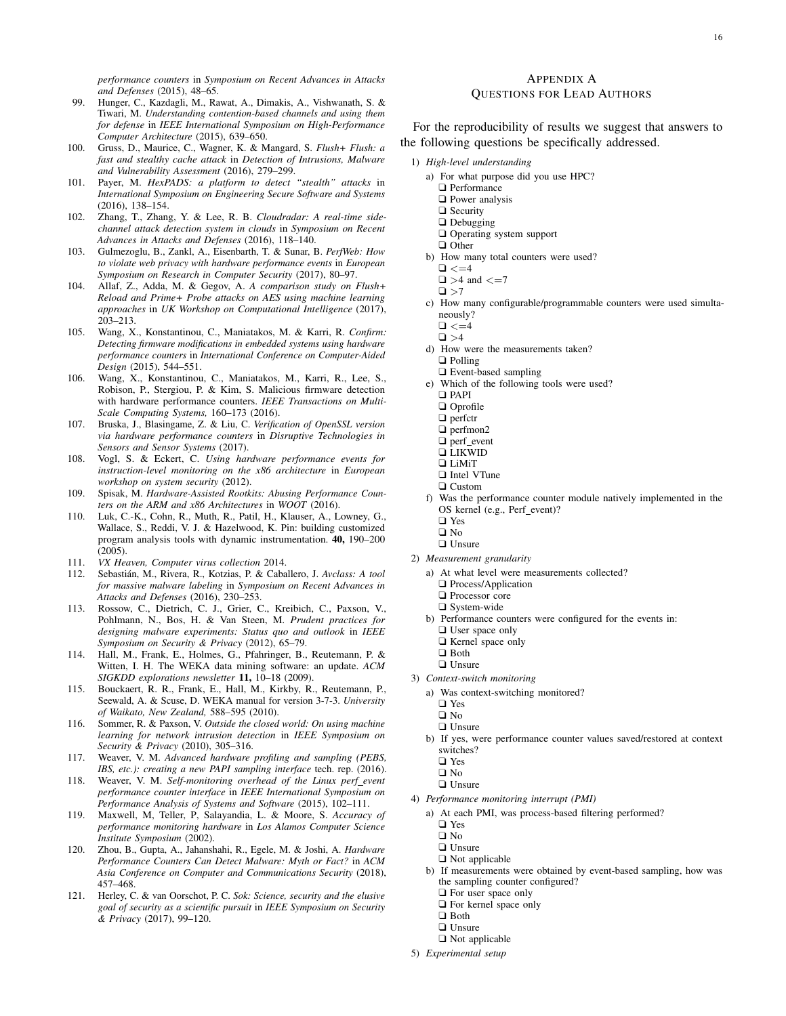*performance counters* in *Symposium on Recent Advances in Attacks and Defenses* (2015), 48–65.

- <span id="page-15-0"></span>99. Hunger, C., Kazdagli, M., Rawat, A., Dimakis, A., Vishwanath, S. & Tiwari, M. *Understanding contention-based channels and using them for defense* in *IEEE International Symposium on High-Performance Computer Architecture* (2015), 639–650.
- <span id="page-15-2"></span>100. Gruss, D., Maurice, C., Wagner, K. & Mangard, S. *Flush+ Flush: a fast and stealthy cache attack* in *Detection of Intrusions, Malware and Vulnerability Assessment* (2016), 279–299.
- <span id="page-15-3"></span>101. Payer, M. *HexPADS: a platform to detect "stealth" attacks* in *International Symposium on Engineering Secure Software and Systems* (2016), 138–154.
- <span id="page-15-4"></span>102. Zhang, T., Zhang, Y. & Lee, R. B. *Cloudradar: A real-time sidechannel attack detection system in clouds* in *Symposium on Recent Advances in Attacks and Defenses* (2016), 118–140.
- <span id="page-15-5"></span>103. Gulmezoglu, B., Zankl, A., Eisenbarth, T. & Sunar, B. *PerfWeb: How to violate web privacy with hardware performance events* in *European Symposium on Research in Computer Security* (2017), 80–97.
- <span id="page-15-6"></span>104. Allaf, Z., Adda, M. & Gegov, A. *A comparison study on Flush+ Reload and Prime+ Probe attacks on AES using machine learning approaches* in *UK Workshop on Computational Intelligence* (2017), 203–213.
- <span id="page-15-7"></span>105. Wang, X., Konstantinou, C., Maniatakos, M. & Karri, R. *Confirm: Detecting firmware modifications in embedded systems using hardware performance counters* in *International Conference on Computer-Aided Design* (2015), 544–551.
- <span id="page-15-8"></span>106. Wang, X., Konstantinou, C., Maniatakos, M., Karri, R., Lee, S., Robison, P., Stergiou, P. & Kim, S. Malicious firmware detection with hardware performance counters. *IEEE Transactions on Multi-Scale Computing Systems,* 160–173 (2016).
- <span id="page-15-9"></span>107. Bruska, J., Blasingame, Z. & Liu, C. *Verification of OpenSSL version via hardware performance counters* in *Disruptive Technologies in Sensors and Sensor Systems* (2017).
- <span id="page-15-10"></span>108. Vogl, S. & Eckert, C. *Using hardware performance events for instruction-level monitoring on the x86 architecture* in *European workshop on system security* (2012).
- <span id="page-15-1"></span>109. Spisak, M. *Hardware-Assisted Rootkits: Abusing Performance Counters on the ARM and x86 Architectures* in *WOOT* (2016).
- <span id="page-15-12"></span>110. Luk, C.-K., Cohn, R., Muth, R., Patil, H., Klauser, A., Lowney, G., Wallace, S., Reddi, V. J. & Hazelwood, K. Pin: building customized program analysis tools with dynamic instrumentation. 40, 190–200 (2005).
- <span id="page-15-13"></span>111. *VX Heaven, Computer virus collection* 2014.
- <span id="page-15-14"></span>112. Sebastian, M., Rivera, R., Kotzias, P. & Caballero, J. ´ *Avclass: A tool for massive malware labeling* in *Symposium on Recent Advances in Attacks and Defenses* (2016), 230–253.
- <span id="page-15-15"></span>113. Rossow, C., Dietrich, C. J., Grier, C., Kreibich, C., Paxson, V., Pohlmann, N., Bos, H. & Van Steen, M. *Prudent practices for designing malware experiments: Status quo and outlook* in *IEEE Symposium on Security & Privacy* (2012), 65–79.
- <span id="page-15-16"></span>114. Hall, M., Frank, E., Holmes, G., Pfahringer, B., Reutemann, P. & Witten, I. H. The WEKA data mining software: an update. *ACM SIGKDD explorations newsletter* 11, 10–18 (2009).
- <span id="page-15-17"></span>115. Bouckaert, R. R., Frank, E., Hall, M., Kirkby, R., Reutemann, P., Seewald, A. & Scuse, D. WEKA manual for version 3-7-3. *University of Waikato, New Zealand,* 588–595 (2010).
- <span id="page-15-18"></span>116. Sommer, R. & Paxson, V. *Outside the closed world: On using machine learning for network intrusion detection* in *IEEE Symposium on Security & Privacy* (2010), 305–316.
- <span id="page-15-19"></span>117. Weaver, V. M. *Advanced hardware profiling and sampling (PEBS, IBS, etc.): creating a new PAPI sampling interface* tech. rep. (2016).
- <span id="page-15-20"></span>118. Weaver, V. M. *Self-monitoring overhead of the Linux perf event performance counter interface* in *IEEE International Symposium on Performance Analysis of Systems and Software* (2015), 102–111.
- <span id="page-15-21"></span>119. Maxwell, M, Teller, P, Salayandia, L. & Moore, S. *Accuracy of performance monitoring hardware* in *Los Alamos Computer Science Institute Symposium* (2002).
- <span id="page-15-22"></span>120. Zhou, B., Gupta, A., Jahanshahi, R., Egele, M. & Joshi, A. *Hardware Performance Counters Can Detect Malware: Myth or Fact?* in *ACM Asia Conference on Computer and Communications Security* (2018), 457–468.
- <span id="page-15-23"></span>121. Herley, C. & van Oorschot, P. C. *Sok: Science, security and the elusive goal of security as a scientific pursuit* in *IEEE Symposium on Security & Privacy* (2017), 99–120.

# <span id="page-15-11"></span>APPENDIX A QUESTIONS FOR LEAD AUTHORS

For the reproducibility of results we suggest that answers to the following questions be specifically addressed.

- 1) *High-level understanding*
	- a) For what purpose did you use HPC?
		- ❑ Performance
		- ❑ Power analysis
		- ❑ Security
		- ❑ Debugging
		- ❑ Operating system support ❑ Other
	- b) How many total counters were used?
		- $\Box \leq 4$

$$
\Box
$$
 >4 and <=7

$$
\Box >7
$$

- c) How many configurable/programmable counters were used simultaneously?
	- $\Box \leq = 4$
	- $\Box$   ${>}4$
- d) How were the measurements taken?
	- ❑ Polling
	- ❑ Event-based sampling
- e) Which of the following tools were used?
	- ❑ PAPI
	- ❑ Oprofile
	- ❑ perfctr
	- ❑ perfmon2 □ perf\_event
	- ❑ LIKWID
	- ❑ LiMiT
	- ❑ Intel VTune
	- ❑ Custom
- f) Was the performance counter module natively implemented in the OS kernel (e.g., Perf\_event)?
	- ❑ Yes
	- ❑ No
	- ❑ Unsure
- 2) *Measurement granularity*
	- a) At what level were measurements collected?
		- ❑ Process/Application
		- ❑ Processor core
		- ❑ System-wide
	- b) Performance counters were configured for the events in:
		- ❑ User space only
		- ❑ Kernel space only
		- ❑ Both ❑ Unsure
		-
- 3) *Context-switch monitoring*
	- a) Was context-switching monitored?
		- ❑ Yes
		- ❑ No ❑ Unsure
		-
	- b) If yes, were performance counter values saved/restored at context switches?
		- ❑ Yes
		- ❑ No
		- ❑ Unsure
- 4) *Performance monitoring interrupt (PMI)*
	- a) At each PMI, was process-based filtering performed?
		- ❑ Yes
		- ❑ No
		- ❑ Unsure
		- □ Not applicable
	- b) If measurements were obtained by event-based sampling, how was the sampling counter configured?
		- ❑ For user space only
		- □ For kernel space only
		- ❑ Both
		- ❑ Unsure
	- ❑ Not applicable
- 5) *Experimental setup*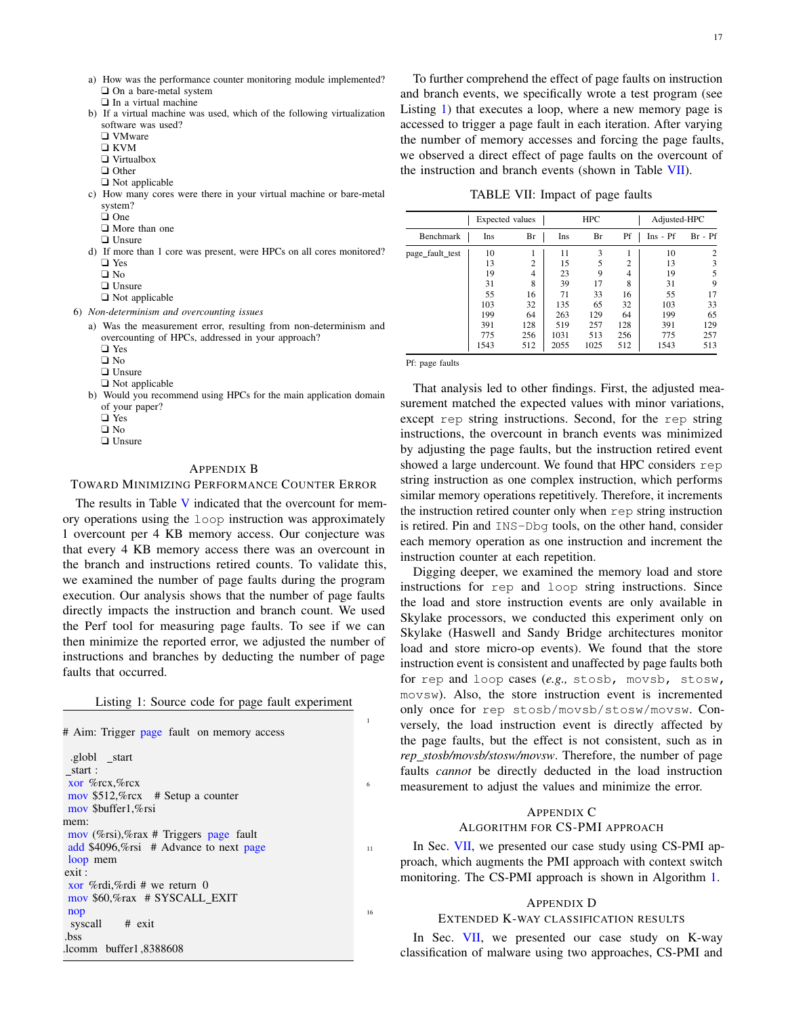- a) How was the performance counter monitoring module implemented? ❑ On a bare-metal system
	- ❑ In a virtual machine
- b) If a virtual machine was used, which of the following virtualization software was used?
	- ❑ VMware
	- ❑ KVM
	- ❑ Virtualbox
	- ❑ Other
	- ❑ Not applicable
- c) How many cores were there in your virtual machine or bare-metal system?
	- ❑ One
	- ❑ More than one
	- ❑ Unsure
- d) If more than 1 core was present, were HPCs on all cores monitored? ❑ Yes
	- ❑ No
	- ❑ Unsure
- ❑ Not applicable
- 6) *Non-determinism and overcounting issues*
	- a) Was the measurement error, resulting from non-determinism and overcounting of HPCs, addressed in your approach?
		- ❑ Yes
		- ❑ No
		- ❑ Unsure
		- ❑ Not applicable
	- b) Would you recommend using HPCs for the main application domain of your paper?
		- ❑ Yes
		- ❑ No ❑ Unsure

#### <span id="page-16-0"></span>APPENDIX B

## TOWARD MINIMIZING PERFORMANCE COUNTER ERROR

The results in Table [V](#page-7-1) indicated that the overcount for memory operations using the loop instruction was approximately 1 overcount per 4 KB memory access. Our conjecture was that every 4 KB memory access there was an overcount in the branch and instructions retired counts. To validate this, we examined the number of page faults during the program execution. Our analysis shows that the number of page faults directly impacts the instruction and branch count. We used the Perf tool for measuring page faults. To see if we can then minimize the reported error, we adjusted the number of instructions and branches by deducting the number of page faults that occurred.

## <span id="page-16-3"></span>Listing 1: Source code for page fault experiment

# Aim: Trigger page fault on memory access .globl \_start start : xor %rcx,%rcx 6 mov \$512,%rcx # Setup a counter mov \$buffer1,%rsi mem: mov (%rsi),%rax # Triggers page fault add \$4096,% $rsi$  # Advance to next page loop mem exit : xor %rdi,%rdi # we return 0 mov \$60,%rax # SYSCALL EXIT nop and the set of the set of the set of the set of the set of the set of the set of the set of the set of the syscall # exit .bss .lcomm buffer1 ,8388608

To further comprehend the effect of page faults on instruction and branch events, we specifically wrote a test program (see Listing [1\)](#page-16-3) that executes a loop, where a new memory page is accessed to trigger a page fault in each iteration. After varying the number of memory accesses and forcing the page faults, we observed a direct effect of page faults on the overcount of the instruction and branch events (shown in Table [VII\)](#page-16-4).

TABLE VII: Impact of page faults

<span id="page-16-4"></span>

|                 | Expected values |                |      | <b>HPC</b> |     | Adjusted-HPC |           |  |  |
|-----------------|-----------------|----------------|------|------------|-----|--------------|-----------|--|--|
| Benchmark       | Ins             | Br             | Ins  | Br         | Pf  | $Ins - Pf$   | $Br - Pf$ |  |  |
| page_fault_test | 10              |                | 11   | 3          | 1   | 10           | 2         |  |  |
|                 | 13              | $\overline{c}$ | 15   | 5          | 2   | 13           | 3         |  |  |
|                 | 19              | 4              | 23   | 9          | 4   | 19           | 5         |  |  |
|                 | 31              | 8              | 39   | 17         | 8   | 31           | 9         |  |  |
|                 | 55              | 16             | 71   | 33         | 16  | 55           | 17        |  |  |
|                 | 103             | 32             | 135  | 65         | 32  | 103          | 33        |  |  |
|                 | 199             | 64             | 263  | 129        | 64  | 199          | 65        |  |  |
|                 | 391             | 128            | 519  | 257        | 128 | 391          | 129       |  |  |
|                 | 775             | 256            | 1031 | 513        | 256 | 775          | 257       |  |  |
|                 | 1543            | 512            | 2055 | 1025       | 512 | 1543         | 513       |  |  |

Pf: page faults

1

That analysis led to other findings. First, the adjusted measurement matched the expected values with minor variations, except rep string instructions. Second, for the rep string instructions, the overcount in branch events was minimized by adjusting the page faults, but the instruction retired event showed a large undercount. We found that HPC considers rep string instruction as one complex instruction, which performs similar memory operations repetitively. Therefore, it increments the instruction retired counter only when rep string instruction is retired. Pin and INS-Dbg tools, on the other hand, consider each memory operation as one instruction and increment the instruction counter at each repetition.

Digging deeper, we examined the memory load and store instructions for rep and loop string instructions. Since the load and store instruction events are only available in Skylake processors, we conducted this experiment only on Skylake (Haswell and Sandy Bridge architectures monitor load and store micro-op events). We found that the store instruction event is consistent and unaffected by page faults both for rep and loop cases (*e.g.,* stosb, movsb, stosw, movsw). Also, the store instruction event is incremented only once for rep stosb/movsb/stosw/movsw. Conversely, the load instruction event is directly affected by the page faults, but the effect is not consistent, such as in *rep stosb/movsb/stosw/movsw*. Therefore, the number of page faults *cannot* be directly deducted in the load instruction measurement to adjust the values and minimize the error.

## <span id="page-16-1"></span>APPENDIX C

## ALGORITHM FOR CS-PMI APPROACH

In Sec. [VII,](#page-7-0) we presented our case study using CS-PMI approach, which augments the PMI approach with context switch monitoring. The CS-PMI approach is shown in Algorithm [1.](#page-17-0)

### <span id="page-16-2"></span>APPENDIX D

# EXTENDED K-WAY CLASSIFICATION RESULTS

In Sec. [VII,](#page-7-0) we presented our case study on K-way classification of malware using two approaches, CS-PMI and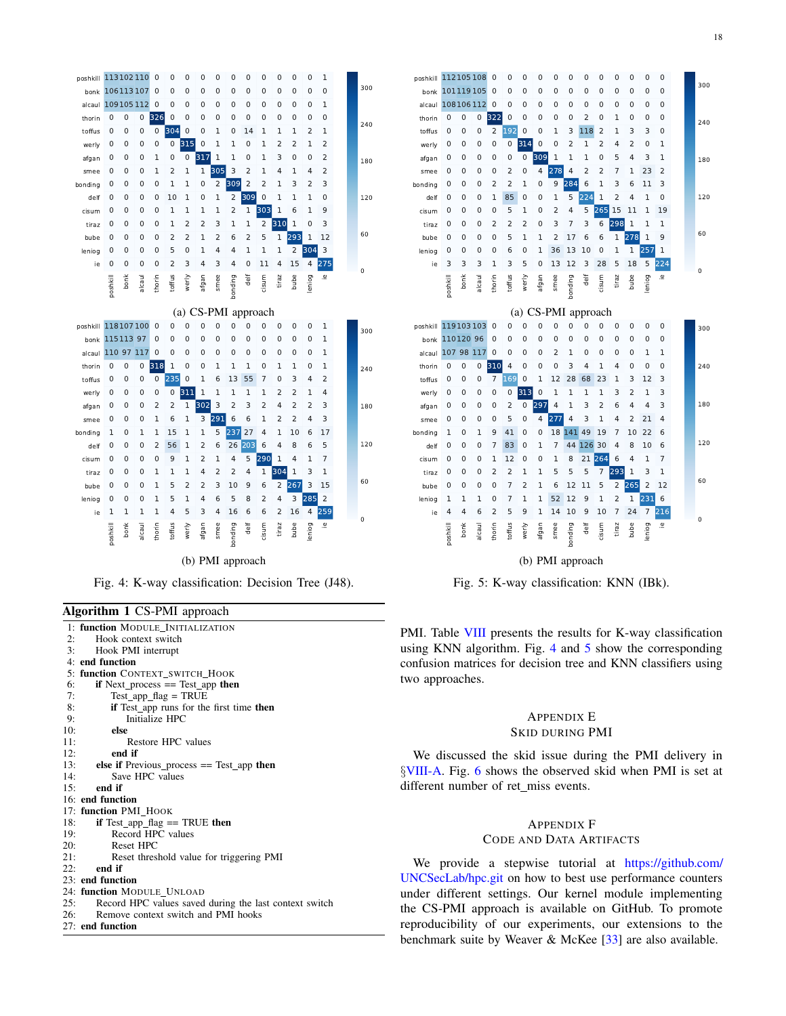

<span id="page-17-2"></span>

Fig. 4: K-way classification: Decision Tree (J48).

# <span id="page-17-0"></span>Algorithm 1 CS-PMI approach

|            |                                           | poshkill                                               | bonk     | alcaul                   | thorin         | toffus                   | werl           | afgar          | smee           | panding        | gel                                                    | cisum          | tiraz          | bube           | eniog                    | .≌                       |                                                    |          |                  | poshkill       | bonk         |
|------------|-------------------------------------------|--------------------------------------------------------|----------|--------------------------|----------------|--------------------------|----------------|----------------|----------------|----------------|--------------------------------------------------------|----------------|----------------|----------------|--------------------------|--------------------------|----------------------------------------------------|----------|------------------|----------------|--------------|
|            |                                           |                                                        |          |                          |                |                          |                |                |                |                | (a) CS-PMI approach                                    |                |                |                |                          |                          |                                                    |          |                  |                |              |
|            | poshkill 118107100                        |                                                        |          |                          | $\Omega$       | 0                        | 0              | $\overline{0}$ | 0              | $\mathbf 0$    | $\mathbf 0$                                            | 0              | 0              | 0              | 0                        | 1                        |                                                    | 300      | poshkill 119 103 |                |              |
|            | bonk                                      | 115113 97                                              |          |                          | $\mathbf 0$    | $\mathbf 0$              | $\mathbf 0$    | $\mathbf 0$    | 0              | $\mathbf 0$    | $\mathbf 0$                                            | $\mathbf 0$    | 0              | 0              | 0                        | $\mathbf{1}$             |                                                    |          | bonk 110120      |                |              |
|            | alcaul 110 97 117                         |                                                        |          |                          | 0              | $\mathbf 0$              | $\mathbf 0$    | 0              | 0              | 0              | $\mathbf 0$                                            | 0              | 0              | 0              | 0                        | $\mathbf{1}$             |                                                    |          | alcaul 107 98 :  |                |              |
|            | thorin                                    | $\boldsymbol{0}$                                       | 0        | $\boldsymbol{0}$         | 318            | $\mathbf{1}$             | $\mathbf 0$    | $\mathbf 0$    | 1              | $\mathbf 1$    | $\mathbf{1}$                                           | $\mathbf 0$    | $\mathbf 1$    | $\mathbf 1$    | 0                        | $\mathbf{1}$             |                                                    | 240      | thorin           | $\mathbf 0$    | $\mathbf 0$  |
|            | toffus                                    | 0                                                      | 0        | 0                        | 0              | 235                      | $\mathbf 0$    | $\mathbf{1}$   | 6              | 13             | 55                                                     | $\overline{7}$ | 0              | 3              | 4                        | $\overline{2}$           |                                                    |          | toffus           | $\mathbf 0$    | 0            |
|            | werly                                     | 0                                                      | 0        | 0                        | 0              | 0                        | 311            | $\mathbf 1$    | $\overline{1}$ | $\mathbf 1$    | $\mathbf{1}$                                           | 1              | 2              | $\overline{2}$ | 1                        | 4                        |                                                    |          | werly            | 0              | $\mathbf 0$  |
|            | afgan                                     | 0                                                      | 0        | $\boldsymbol{0}$         | $\overline{c}$ | $\overline{c}$           | 1              | 302            | 3              | $\overline{2}$ | 3                                                      | $\overline{2}$ | 4              | $\overline{2}$ | $\overline{2}$           | 3                        |                                                    | 180      | afgan            | $\mathbf 0$    | 0            |
|            | smee                                      | 0                                                      | $\Omega$ | $\mathbf 0$              | $\mathbf{1}$   | 6                        | 1              | 3              | 291            | 6              | 6                                                      | $\mathbf{1}$   | $\overline{2}$ | $\overline{2}$ | $\overline{4}$           | 3                        |                                                    |          | smee             | $\Omega$       | $\mathbf{0}$ |
|            | bonding                                   | $\mathbf{1}$                                           | 0        | $\mathbf{1}$             | $\mathbf{1}$   | 15                       | $\,1$          | 1              | 5              | 237            | 27                                                     | $\overline{4}$ | $\mathbf 1$    | 10             | 6                        | 17                       |                                                    |          | bonding          | $\mathbf{1}$   | $\mathbf 0$  |
|            | delf                                      | $\mathbf 0$                                            | 0        | $\mathbf 0$              | $\overline{2}$ | 56                       | $\mathbf 1$    | 2              | 6              |                | 26 203                                                 | 6              | 4              | 8              | 6                        | 5                        |                                                    | 120      | delf             | $\mathbf 0$    | 0            |
|            | cisum                                     | 0                                                      | 0        | $\mathbf{0}$             | 0              | 9                        | $\mathbf{1}$   | 2              | 1              | 4              | 5                                                      | 290            | $\mathbf{1}$   | $\overline{4}$ | $\mathbf{1}$             | 7                        |                                                    |          | cisum            | $\mathbf 0$    | $\mathbf 0$  |
|            | tiraz                                     | $\Omega$                                               | 0        | $\mathbf 0$              | $\mathbf{1}$   | $\mathbf{1}$             | $\mathbf 1$    | 4              | $\overline{2}$ | $\overline{2}$ | 4                                                      | $\mathbf 1$    | 304            | $\mathbf{1}$   | 3                        | $\mathbf{1}$             |                                                    |          | tiraz            | $\mathbf 0$    | $\mathbf 0$  |
|            | bube                                      | $\mathbf 0$                                            | $\Omega$ | $\mathbf{0}$             | $\mathbf{1}$   | 5                        | $\overline{2}$ | $\overline{2}$ | 3              | 10             | 9                                                      | 6              | 2              | 267            | 3                        | 15                       |                                                    | 60       | bube             | $\mathbf 0$    | $\mathbf 0$  |
|            | leniog                                    | $\boldsymbol{0}$                                       | 0        | $\mathbf 0$              | $\mathbf{1}$   | 5                        | $\mathbf{1}$   | $\overline{4}$ | 6              | 5              | 8                                                      | $\overline{2}$ | 4              | 3              | 285                      | $\overline{2}$           |                                                    |          | leniog           | 1              | $\mathbf{1}$ |
|            | ie                                        | $\mathbf 1$                                            | 1        | $\mathbf 1$              | $\mathbf 1$    | $\overline{\mathcal{L}}$ | 5              | 3              | $\overline{4}$ | 16             | 6                                                      | 6              | $\overline{c}$ | 16             | $\overline{\mathcal{L}}$ | 259                      |                                                    |          | ie               | $\overline{4}$ | 4            |
|            |                                           |                                                        |          |                          |                |                          |                |                |                |                |                                                        |                |                |                |                          | $\underline{\mathbb{O}}$ |                                                    | $\Omega$ |                  |                |              |
|            |                                           | boshkill                                               | bonk     | alcaul                   | thorin         | toffus                   | werly          | afgan          | smee           | paribrioc      | đelf                                                   | cisum          | tiraz          | bube           | eniog                    |                          |                                                    |          |                  | poshkill       | bonk         |
|            |                                           |                                                        |          |                          |                |                          |                |                |                |                | (b) PMI approach                                       |                |                |                |                          |                          |                                                    |          |                  |                |              |
|            |                                           |                                                        |          |                          |                |                          |                |                |                |                |                                                        |                |                |                |                          |                          | Fig. 4: K-way classification: Decision Tree (J48). |          |                  |                | Fig.         |
|            |                                           |                                                        |          |                          |                |                          |                |                |                |                |                                                        |                |                |                |                          |                          |                                                    |          |                  |                |              |
|            | Algorithm 1 CS-PMI approach               |                                                        |          |                          |                |                          |                |                |                |                |                                                        |                |                |                |                          |                          |                                                    |          |                  |                |              |
|            |                                           |                                                        |          |                          |                |                          |                |                |                |                |                                                        |                |                |                |                          |                          |                                                    |          |                  |                |              |
| 2:         | 1: function MODULE INITIALIZATION         |                                                        |          |                          |                |                          |                |                |                |                |                                                        |                | PMI. Table V.  |                |                          |                          |                                                    |          |                  |                |              |
| 3:         | Hook context switch<br>Hook PMI interrupt |                                                        |          |                          |                |                          |                |                |                |                |                                                        |                | using KNN al   |                |                          |                          |                                                    |          |                  |                |              |
|            | 4: end function                           |                                                        |          |                          |                |                          |                |                |                |                |                                                        |                |                | confusion mati |                          |                          |                                                    |          |                  |                |              |
| 5:         | function CONTEXT_SWITCH_HOOK              |                                                        |          |                          |                |                          |                |                |                |                |                                                        |                |                |                |                          |                          |                                                    |          | two approache    |                |              |
| 6:         |                                           | if Next_process $==$ Test_app then                     |          |                          |                |                          |                |                |                |                |                                                        |                |                |                |                          |                          |                                                    |          |                  |                |              |
| 7:         |                                           |                                                        |          | $Test\_app\_flag = TRUE$ |                |                          |                |                |                |                |                                                        |                |                |                |                          |                          |                                                    |          |                  |                |              |
| 8:         |                                           |                                                        |          |                          |                |                          |                |                |                |                | <b>if</b> Test app runs for the first time <b>then</b> |                |                |                |                          |                          |                                                    |          |                  |                |              |
| 9:<br>10:  |                                           |                                                        | else     | Initialize HPC           |                |                          |                |                |                |                |                                                        |                |                |                |                          |                          |                                                    |          |                  |                |              |
| 11:        |                                           |                                                        |          | Restore HPC values       |                |                          |                |                |                |                |                                                        |                |                |                |                          |                          |                                                    |          |                  |                |              |
| 12:        |                                           |                                                        | end if   |                          |                |                          |                |                |                |                |                                                        |                |                |                |                          |                          |                                                    |          | We discuss       |                |              |
| 13:        |                                           | <b>else if</b> Previous_process $==$ Test_app then     |          |                          |                |                          |                |                |                |                |                                                        |                |                |                |                          |                          |                                                    |          |                  |                |              |
| 14:        |                                           |                                                        |          | Save HPC values          |                |                          |                |                |                |                |                                                        |                |                |                |                          |                          |                                                    |          | §VIII-A. Fig.    |                |              |
| 15:        |                                           | end if                                                 |          |                          |                |                          |                |                |                |                |                                                        |                |                |                |                          |                          |                                                    |          | different numb   |                |              |
|            | 16: end function                          |                                                        |          |                          |                |                          |                |                |                |                |                                                        |                |                |                |                          |                          |                                                    |          |                  |                |              |
|            | 17: function PMI HOOK                     |                                                        |          |                          |                |                          |                |                |                |                |                                                        |                |                |                |                          |                          |                                                    |          |                  |                |              |
| 18:        |                                           | <b>if</b> $Test\_app\_flag == TRUE$ then               |          |                          |                |                          |                |                |                |                |                                                        |                |                |                |                          |                          |                                                    |          |                  |                |              |
| 19:<br>20: |                                           |                                                        |          | Record HPC values        |                |                          |                |                |                |                |                                                        |                |                |                |                          |                          |                                                    |          |                  |                |              |
| 21:        |                                           |                                                        |          | Reset HPC                |                |                          |                |                |                |                | Reset threshold value for triggering PMI               |                |                |                |                          |                          |                                                    |          |                  |                |              |
| 22:        |                                           | end if                                                 |          |                          |                |                          |                |                |                |                |                                                        |                |                |                |                          |                          |                                                    |          | We provide       |                |              |
|            | 23: end function                          |                                                        |          |                          |                |                          |                |                |                |                |                                                        |                |                |                |                          |                          |                                                    |          | UNCSecLab/h      |                |              |
|            | 24: function MODULE_UNLOAD                |                                                        |          |                          |                |                          |                |                |                |                |                                                        |                |                |                |                          |                          |                                                    |          | under differer   |                |              |
| 25:        |                                           | Record HPC values saved during the last context switch |          |                          |                |                          |                |                |                |                |                                                        |                |                |                |                          |                          |                                                    |          | the CS-PMI a     |                |              |
| 26:        |                                           | Remove context switch and PMI hooks                    |          |                          |                |                          |                |                |                |                |                                                        |                |                |                |                          |                          |                                                    |          |                  |                |              |
|            | 27: end function                          |                                                        |          |                          |                |                          |                |                |                |                |                                                        |                |                |                |                          |                          |                                                    |          | reproducibility  |                |              |

<span id="page-17-1"></span>

Fig. 5: K-way classification: KNN (IBk).

PMI. Table [VIII](#page-18-0) presents the results for K-way classification using KNN algorithm. Fig. [4](#page-17-2) and [5](#page-17-1) show the corresponding confusion matrices for decision tree and KNN classifiers using two approaches.

# <span id="page-17-3"></span>APPENDIX E SKID DURING PMI

We discussed the skid issue during the PMI delivery in §[VIII-A.](#page-10-2) Fig. [6](#page-18-1) shows the observed skid when PMI is set at different number of ret\_miss events.

# APPENDIX F

# CODE AND DATA ARTIFACTS

We provide a stepwise tutorial at [https://github.com/](https://github.com/UNCSecLab/hpc.git) [UNCSecLab/hpc.git](https://github.com/UNCSecLab/hpc.git) on how to best use performance counters under different settings. Our kernel module implementing the CS-PMI approach is available on GitHub. To promote reproducibility of our experiments, our extensions to the benchmark suite by Weaver & McKee [\[33\]](#page-13-16) are also available.